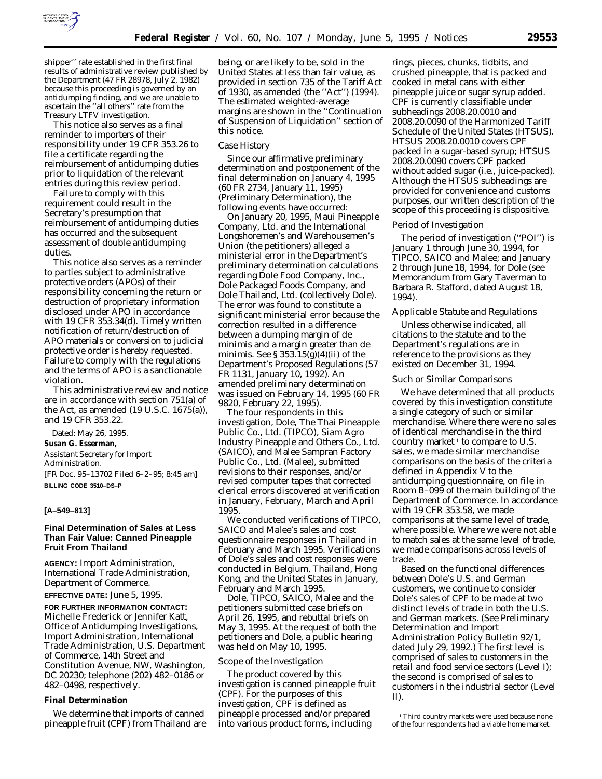

shipper'' rate established in the first final results of administrative review published by the Department (47 FR 28978, July 2, 1982) because this proceeding is governed by an antidumping finding, and we are unable to ascertain the ''all others'' rate from the Treasury LTFV investigation.

This notice also serves as a final reminder to importers of their responsibility under 19 CFR 353.26 to file a certificate regarding the reimbursement of antidumping duties prior to liquidation of the relevant entries during this review period.

Failure to comply with this requirement could result in the Secretary's presumption that reimbursement of antidumping duties has occurred and the subsequent assessment of double antidumping duties.

This notice also serves as a reminder to parties subject to administrative protective orders (APOs) of their responsibility concerning the return or destruction of proprietary information disclosed under APO in accordance with 19 CFR 353.34(d). Timely written notification of return/destruction of APO materials or conversion to judicial protective order is hereby requested. Failure to comply with the regulations and the terms of APO is a sanctionable violation.

This administrative review and notice are in accordance with section 751(a) of the Act, as amended (19 U.S.C. 1675(a)), and 19 CFR 353.22.

Dated: May 26, 1995.

# **Susan G. Esserman,**

*Assistant Secretary for Import Administration.* [FR Doc. 95–13702 Filed 6–2–95; 8:45 am] **BILLING CODE 3510–DS–P**

#### **[A–549–813]**

# **Final Determination of Sales at Less Than Fair Value: Canned Pineapple Fruit From Thailand**

**AGENCY:** Import Administration, International Trade Administration, Department of Commerce.

**EFFECTIVE DATE:** June 5, 1995.

**FOR FURTHER INFORMATION CONTACT:** Michelle Frederick or Jennifer Katt, Office of Antidumping Investigations, Import Administration, International Trade Administration, U.S. Department of Commerce, 14th Street and Constitution Avenue, NW, Washington, DC 20230; telephone (202) 482–0186 or 482–0498, respectively.

#### **Final Determination**

We determine that imports of canned pineapple fruit (CPF) from Thailand are

being, or are likely to be, sold in the United States at less than fair value, as provided in section 735 of the Tariff Act of 1930, as amended (the ''Act'') (1994). The estimated weighted-average margins are shown in the ''Continuation of Suspension of Liquidation'' section of this notice.

#### *Case History*

Since our affirmative preliminary determination and postponement of the final determination on January 4, 1995 (60 FR 2734, January 11, 1995) (*Preliminary Determination*), the following events have occurred:

On January 20, 1995, Maui Pineapple Company, Ltd. and the International Longshoremen's and Warehousemen's Union (the petitioners) alleged a ministerial error in the Department's preliminary determination calculations regarding Dole Food Company, Inc., Dole Packaged Foods Company, and Dole Thailand, Ltd. (collectively Dole). The error was found to constitute a significant ministerial error because the correction resulted in a difference between a dumping margin of *de minimis* and a margin greater than *de minimis*. *See* § 353.15(g)(4)(ii) of the Department's Proposed Regulations (57 FR 1131, January 10, 1992). An amended preliminary determination was issued on February 14, 1995 (60 FR 9820, February 22, 1995).

The four respondents in this investigation, Dole, The Thai Pineapple Public Co., Ltd. (TIPCO), Siam Agro Industry Pineapple and Others Co., Ltd. (SAICO), and Malee Sampran Factory Public Co., Ltd. (Malee), submitted revisions to their responses, and/or revised computer tapes that corrected clerical errors discovered at verification in January, February, March and April 1995.

We conducted verifications of TIPCO, SAICO and Malee's sales and cost questionnaire responses in Thailand in February and March 1995. Verifications of Dole's sales and cost responses were conducted in Belgium, Thailand, Hong Kong, and the United States in January, February and March 1995.

Dole, TIPCO, SAICO, Malee and the petitioners submitted case briefs on April 26, 1995, and rebuttal briefs on May 3, 1995. At the request of both the petitioners and Dole, a public hearing was held on May 10, 1995.

#### *Scope of the Investigation*

The product covered by this investigation is canned pineapple fruit (CPF). For the purposes of this investigation, CPF is defined as pineapple processed and/or prepared into various product forms, including

rings, pieces, chunks, tidbits, and crushed pineapple, that is packed and cooked in metal cans with either pineapple juice or sugar syrup added. CPF is currently classifiable under subheadings 2008.20.0010 and 2008.20.0090 of the *Harmonized Tariff Schedule of the United States* (HTSUS). HTSUS 2008.20.0010 covers CPF packed in a sugar-based syrup; HTSUS 2008.20.0090 covers CPF packed without added sugar (*i.e.*, juice-packed). Although the HTSUS subheadings are provided for convenience and customs purposes, our written description of the scope of this proceeding is dispositive.

### *Period of Investigation*

The period of investigation (''POI'') is January 1 through June 30, 1994, for TIPCO, SAICO and Malee; and January 2 through June 18, 1994, for Dole (*see* Memorandum from Gary Taverman to Barbara R. Stafford, dated August 18, 1994).

# *Applicable Statute and Regulations*

Unless otherwise indicated, all citations to the statute and to the Department's regulations are in reference to the provisions as they existed on December 31, 1994.

### *Such or Similar Comparisons*

We have determined that all products covered by this investigation constitute a single category of such or similar merchandise. Where there were no sales of identical merchandise in the third country market  $1$  to compare to U.S. sales, we made similar merchandise comparisons on the basis of the criteria defined in Appendix V to the antidumping questionnaire, on file in Room B–099 of the main building of the Department of Commerce. In accordance with 19 CFR 353.58, we made comparisons at the same level of trade, where possible. Where we were not able to match sales at the same level of trade, we made comparisons across levels of trade.

Based on the functional differences between Dole's U.S. and German customers, we continue to consider Dole's sales of CPF to be made at two distinct levels of trade in both the U.S. and German markets. (*See Preliminary Determination* and Import Administration Policy Bulletin 92/1, dated July 29, 1992.) The first level is comprised of sales to customers in the retail and food service sectors (Level I); the second is comprised of sales to customers in the industrial sector (Level II).

<sup>&</sup>lt;sup>1</sup>Third country markets were used because none of the four respondents had a viable home market.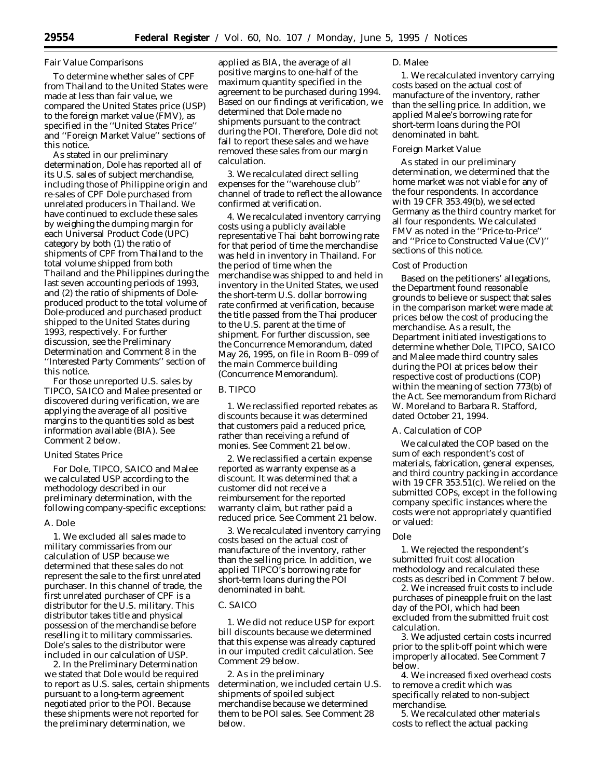# *Fair Value Comparisons*

To determine whether sales of CPF from Thailand to the United States were made at less than fair value, we compared the United States price (USP) to the foreign market value (FMV), as specified in the ''United States Price'' and ''Foreign Market Value'' sections of this notice.

As stated in our preliminary determination, Dole has reported all of its U.S. sales of subject merchandise, including those of Philippine origin and re-sales of CPF Dole purchased from unrelated producers in Thailand. We have continued to exclude these sales by weighing the dumping margin for each Universal Product Code (UPC) category by both (1) the ratio of shipments of CPF from Thailand to the total volume shipped from both Thailand and the Philippines during the last seven accounting periods of 1993, and (2) the ratio of shipments of Doleproduced product to the total volume of Dole-produced and purchased product shipped to the United States during 1993, respectively. For further discussion, see the *Preliminary Determination* and Comment 8 in the ''Interested Party Comments'' section of this notice.

For those unreported U.S. sales by TIPCO, SAICO and Malee presented or discovered during verification, we are applying the average of all positive margins to the quantities sold as best information available (BIA). *See* Comment 2 below.

# *United States Price*

For Dole, TIPCO, SAICO and Malee we calculated USP according to the methodology described in our preliminary determination, with the following company-specific exceptions:

# *A. Dole*

1. We excluded all sales made to military commissaries from our calculation of USP because we determined that these sales do not represent the sale to the first unrelated purchaser. In this channel of trade, the first unrelated purchaser of CPF is a distributor for the U.S. military. This distributor takes title and physical possession of the merchandise before reselling it to military commissaries. Dole's sales to the distributor were included in our calculation of USP.

2. In the *Preliminary Determination* we stated that Dole would be required to report as U.S. sales, certain shipments pursuant to a long-term agreement negotiated prior to the POI. Because these shipments were not reported for the preliminary determination, we

applied as BIA, the average of all positive margins to one-half of the maximum quantity specified in the agreement to be purchased during 1994. Based on our findings at verification, we determined that Dole made no shipments pursuant to the contract during the POI. Therefore, Dole did not fail to report these sales and we have removed these sales from our margin calculation.

3. We recalculated direct selling expenses for the ''warehouse club'' channel of trade to reflect the allowance confirmed at verification.

4. We recalculated inventory carrying costs using a publicly available representative Thai baht borrowing rate for that period of time the merchandise was held in inventory in Thailand. For the period of time when the merchandise was shipped to and held in inventory in the United States, we used the short-term U.S. dollar borrowing rate confirmed at verification, because the title passed from the Thai producer to the U.S. parent at the time of shipment. For further discussion, see the Concurrence Memorandum, dated May 26, 1995, on file in Room B–099 of the main Commerce building (Concurrence Memorandum).

# *B. TIPCO*

1. We reclassified reported rebates as discounts because it was determined that customers paid a reduced price, rather than receiving a refund of monies. *See* Comment 21 below.

2. We reclassified a certain expense reported as warranty expense as a discount. It was determined that a customer did not receive a reimbursement for the reported warranty claim, but rather paid a reduced price. *See* Comment 21 below.

3. We recalculated inventory carrying costs based on the actual cost of manufacture of the inventory, rather than the selling price. In addition, we applied TIPCO's borrowing rate for short-term loans during the POI denominated in baht.

# *C. SAICO*

1. We did not reduce USP for export bill discounts because we determined that this expense was already captured in our imputed credit calculation. *See* Comment 29 below.

2. As in the preliminary determination, we included certain U.S. shipments of spoiled subject merchandise because we determined them to be POI sales. *See* Comment 28 below.

#### *D. Malee*

1. We recalculated inventory carrying costs based on the actual cost of manufacture of the inventory, rather than the selling price. In addition, we applied Malee's borrowing rate for short-term loans during the POI denominated in baht.

# *Foreign Market Value*

As stated in our preliminary determination, we determined that the home market was not viable for any of the four respondents. In accordance with 19 CFR 353.49(b), we selected Germany as the third country market for all four respondents. We calculated FMV as noted in the ''Price-to-Price'' and ''Price to Constructed Value (CV)'' sections of this notice.

# *Cost of Production*

Based on the petitioners' allegations, the Department found reasonable grounds to believe or suspect that sales in the comparison market were made at prices below the cost of producing the merchandise. As a result, the Department initiated investigations to determine whether Dole, TIPCO, SAICO and Malee made third country sales during the POI at prices below their respective cost of productions (COP) within the meaning of section 773(b) of the Act. *See* memorandum from Richard W. Moreland to Barbara R. Stafford, dated October 21, 1994.

# *A. Calculation of COP*

We calculated the COP based on the sum of each respondent's cost of materials, fabrication, general expenses, and third country packing in accordance with 19 CFR 353.51(c). We relied on the submitted COPs, except in the following company specific instances where the costs were not appropriately quantified or valued:

#### *Dole*

1. We rejected the respondent's submitted fruit cost allocation methodology and recalculated these costs as described in Comment 7 below.

2. We increased fruit costs to include purchases of pineapple fruit on the last day of the POI, which had been excluded from the submitted fruit cost calculation.

3. We adjusted certain costs incurred prior to the split-off point which were improperly allocated. *See* Comment 7 below.

4. We increased fixed overhead costs to remove a credit which was specifically related to non-subject merchandise.

5. We recalculated other materials costs to reflect the actual packing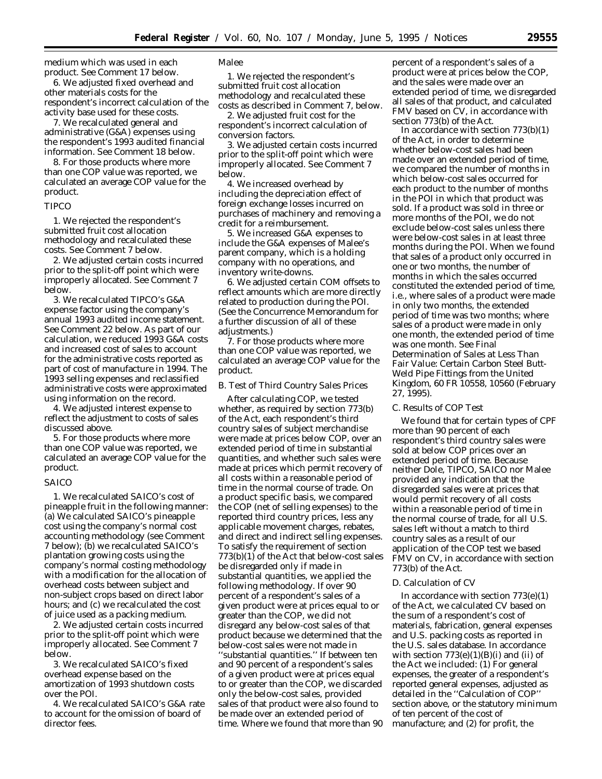medium which was used in each product. *See* Comment 17 below.

6. We adjusted fixed overhead and other materials costs for the respondent's incorrect calculation of the activity base used for these costs.

7. We recalculated general and administrative (G&A) expenses using the respondent's 1993 audited financial information. *See* Comment 18 below.

8. For those products where more than one COP value was reported, we calculated an average COP value for the product.

# *TIPCO*

1. We rejected the respondent's submitted fruit cost allocation methodology and recalculated these costs. *See* Comment 7 below.

2. We adjusted certain costs incurred prior to the split-off point which were improperly allocated. *See* Comment 7 below.

3. We recalculated TIPCO's G&A expense factor using the company's annual 1993 audited income statement. *See* Comment 22 below. As part of our calculation, we reduced 1993 G&A costs and increased cost of sales to account for the administrative costs reported as part of cost of manufacture in 1994. The 1993 selling expenses and reclassified administrative costs were approximated using information on the record.

4. We adjusted interest expense to reflect the adjustment to costs of sales discussed above.

5. For those products where more than one COP value was reported, we calculated an average COP value for the product.

# *SAICO*

1. We recalculated SAICO's cost of pineapple fruit in the following manner: (a) We calculated SAICO's pineapple cost using the company's normal cost accounting methodology (*see* Comment 7 below); (b) we recalculated SAICO's plantation growing costs using the company's normal costing methodology with a modification for the allocation of overhead costs between subject and non-subject crops based on direct labor hours; and (c) we recalculated the cost of juice used as a packing medium.

2. We adjusted certain costs incurred prior to the split-off point which were improperly allocated. *See* Comment 7 below.

3. We recalculated SAICO's fixed overhead expense based on the amortization of 1993 shutdown costs over the POI.

4. We recalculated SAICO's G&A rate to account for the omission of board of director fees.

# *Malee*

1. We rejected the respondent's submitted fruit cost allocation methodology and recalculated these costs as described in Comment 7, below.

2. We adjusted fruit cost for the respondent's incorrect calculation of conversion factors.

3. We adjusted certain costs incurred prior to the split-off point which were improperly allocated. *See* Comment 7 below.

4. We increased overhead by including the depreciation effect of foreign exchange losses incurred on purchases of machinery and removing a credit for a reimbursement.

5. We increased G&A expenses to include the G&A expenses of Malee's parent company, which is a holding company with no operations, and inventory write-downs.

6. We adjusted certain COM offsets to reflect amounts which are more directly related to production during the POI. (*See* the Concurrence Memorandum for a further discussion of all of these adjustments.)

7. For those products where more than one COP value was reported, we calculated an average COP value for the product.

### *B. Test of Third Country Sales Prices*

After calculating COP, we tested whether, as required by section 773(b) of the Act, each respondent's third country sales of subject merchandise were made at prices below COP, over an extended period of time in substantial quantities, and whether such sales were made at prices which permit recovery of all costs within a reasonable period of time in the normal course of trade. On a product specific basis, we compared the COP (net of selling expenses) to the reported third country prices, less any applicable movement charges, rebates, and direct and indirect selling expenses. To satisfy the requirement of section 773(b)(1) of the Act that below-cost sales be disregarded only if made in substantial quantities, we applied the following methodology. If over 90 percent of a respondent's sales of a given product were at prices equal to or greater than the COP, we did not disregard any below-cost sales of that product because we determined that the below-cost sales were not made in ''substantial quantities.'' If between ten and 90 percent of a respondent's sales of a given product were at prices equal to or greater than the COP, we discarded only the below-cost sales, provided sales of that product were also found to be made over an extended period of time. Where we found that more than 90

percent of a respondent's sales of a product were at prices below the COP, and the sales were made over an extended period of time, we disregarded all sales of that product, and calculated FMV based on CV, in accordance with section 773(b) of the Act.

In accordance with section 773(b)(1) of the Act, in order to determine whether below-cost sales had been made over an extended period of time, we compared the number of months in which below-cost sales occurred for each product to the number of months in the POI in which that product was sold. If a product was sold in three or more months of the POI, we do not exclude below-cost sales unless there were below-cost sales in at least three months during the POI. When we found that sales of a product only occurred in one or two months, the number of months in which the sales occurred constituted the extended period of time, *i.e.*, where sales of a product were made in only two months, the extended period of time was two months; where sales of a product were made in only one month, the extended period of time was one month. *See Final Determination of Sales at Less Than Fair Value: Certain Carbon Steel Butt-Weld Pipe Fittings from the United Kingdom,* 60 FR 10558, 10560 (February 27, 1995).

### *C. Results of COP Test*

We found that for certain types of CPF more than 90 percent of each respondent's third country sales were sold at below COP prices over an extended period of time. Because neither Dole, TIPCO, SAICO nor Malee provided any indication that the disregarded sales were at prices that would permit recovery of all costs within a reasonable period of time in the normal course of trade, for all U.S. sales left without a match to third country sales as a result of our application of the COP test we based FMV on CV, in accordance with section 773(b) of the Act.

# *D. Calculation of CV*

In accordance with section 773(e)(1) of the Act, we calculated CV based on the sum of a respondent's cost of materials, fabrication, general expenses and U.S. packing costs as reported in the U.S. sales database. In accordance with section  $773(e)(1)(B)(i)$  and (ii) of the Act we included: (1) For general expenses, the greater of a respondent's reported general expenses, adjusted as detailed in the ''Calculation of COP'' section above, or the statutory minimum of ten percent of the cost of manufacture; and (2) for profit, the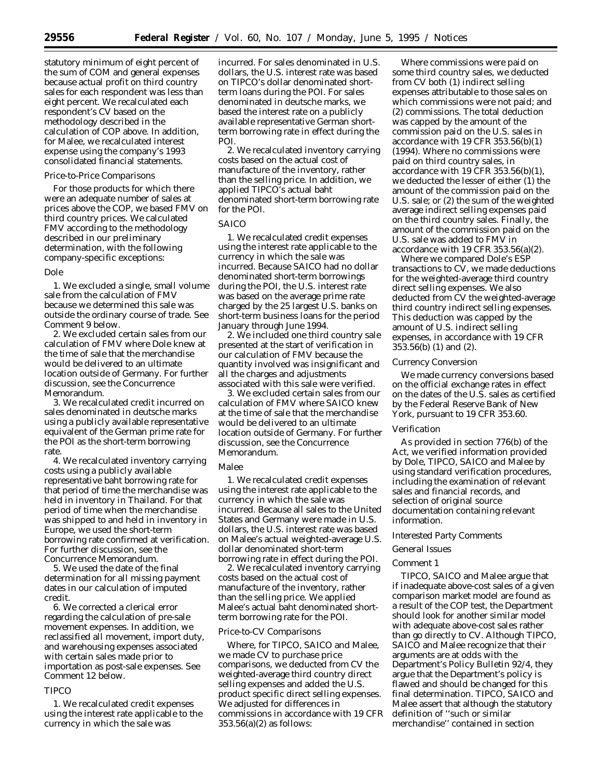statutory minimum of eight percent of the sum of COM and general expenses because actual profit on third country sales for each respondent was less than eight percent. We recalculated each respondent's CV based on the methodology described in the calculation of COP above. In addition, for Malee, we recalculated interest expense using the company's 1993 consolidated financial statements.

# *Price-to-Price Comparisons*

For those products for which there were an adequate number of sales at prices above the COP, we based FMV on third country prices. We calculated FMV according to the methodology described in our preliminary determination, with the following company-specific exceptions:

#### *Dole*

1. We excluded a single, small volume sale from the calculation of FMV because we determined this sale was outside the ordinary course of trade. *See* Comment 9 below.

2. We excluded certain sales from our calculation of FMV where Dole knew at the time of sale that the merchandise would be delivered to an ultimate location outside of Germany. For further discussion, see the Concurrence Memorandum.

3. We recalculated credit incurred on sales denominated in deutsche marks using a publicly available representative equivalent of the German prime rate for the POI as the short-term borrowing rate.

4. We recalculated inventory carrying costs using a publicly available representative baht borrowing rate for that period of time the merchandise was held in inventory in Thailand. For that period of time when the merchandise was shipped to and held in inventory in Europe, we used the short-term borrowing rate confirmed at verification. For further discussion, see the Concurrence Memorandum.

5. We used the date of the final determination for all missing payment dates in our calculation of imputed credit.

6. We corrected a clerical error regarding the calculation of pre-sale movement expenses. In addition, we reclassified all movement, import duty, and warehousing expenses associated with certain sales made prior to importation as post-sale expenses. *See* Comment 12 below.

# *TIPCO*

1. We recalculated credit expenses using the interest rate applicable to the currency in which the sale was

incurred. For sales denominated in U.S. dollars, the U.S. interest rate was based on TIPCO's dollar denominated shortterm loans during the POI. For sales denominated in deutsche marks, we based the interest rate on a publicly available representative German shortterm borrowing rate in effect during the POI.

2. We recalculated inventory carrying costs based on the actual cost of manufacture of the inventory, rather than the selling price. In addition, we applied TIPCO's actual baht denominated short-term borrowing rate for the POI.

#### *SAICO*

1. We recalculated credit expenses using the interest rate applicable to the currency in which the sale was incurred. Because SAICO had no dollar denominated short-term borrowings during the POI, the U.S. interest rate was based on the average prime rate charged by the 25 largest U.S. banks on short-term business loans for the period January through June 1994.

2. We included one third country sale presented at the start of verification in our calculation of FMV because the quantity involved was insignificant and all the charges and adjustments associated with this sale were verified.

3. We excluded certain sales from our calculation of FMV where SAICO knew at the time of sale that the merchandise would be delivered to an ultimate location outside of Germany. For further discussion, see the Concurrence Memorandum.

#### *Malee*

1. We recalculated credit expenses using the interest rate applicable to the currency in which the sale was incurred. Because all sales to the United States and Germany were made in U.S. dollars, the U.S. interest rate was based on Malee's actual weighted-average U.S. dollar denominated short-term borrowing rate in effect during the POI.

2. We recalculated inventory carrying costs based on the actual cost of manufacture of the inventory, rather than the selling price. We applied Malee's actual baht denominated shortterm borrowing rate for the POI.

### *Price-to-CV Comparisons*

Where, for TIPCO, SAICO and Malee, we made CV to purchase price comparisons, we deducted from CV the weighted-average third country direct selling expenses and added the U.S. product specific direct selling expenses. We adjusted for differences in commissions in accordance with 19 CFR 353.56(a)(2) as follows:

Where commissions were paid on some third country sales, we deducted from CV both (1) indirect selling expenses attributable to those sales on which commissions were not paid; and (2) commissions. The total deduction was capped by the amount of the commission paid on the U.S. sales in accordance with 19 CFR 353.56(b)(1) (1994). Where no commissions were paid on third country sales, in accordance with 19 CFR 353.56(b)(1), we deducted the lesser of either (1) the amount of the commission paid on the U.S. sale; or (2) the sum of the weighted average indirect selling expenses paid on the third country sales. Finally, the amount of the commission paid on the U.S. sale was added to FMV in accordance with 19 CFR 353.56(a)(2).

Where we compared Dole's ESP transactions to CV, we made deductions for the weighted-average third country direct selling expenses. We also deducted from CV the weighted-average third country indirect selling expenses. This deduction was capped by the amount of U.S. indirect selling expenses, in accordance with 19 CFR 353.56(b) (1) and (2).

#### *Currency Conversion*

We made currency conversions based on the official exchange rates in effect on the dates of the U.S. sales as certified by the Federal Reserve Bank of New York, pursuant to 19 CFR 353.60.

#### *Verification*

As provided in section 776(b) of the Act, we verified information provided by Dole, TIPCO, SAICO and Malee by using standard verification procedures, including the examination of relevant sales and financial records, and selection of original source documentation containing relevant information.

### *Interested Party Comments*

# *General Issues*

# *Comment 1*

TIPCO, SAICO and Malee argue that if inadequate above-cost sales of a given comparison market model are found as a result of the COP test, the Department should look for another similar model with adequate above-cost sales rather than go directly to CV. Although TIPCO, SAICO and Malee recognize that their arguments are at odds with the Department's Policy Bulletin 92/4, they argue that the Department's policy is flawed and should be changed for this final determination. TIPCO, SAICO and Malee assert that although the statutory definition of ''such or similar merchandise'' contained in section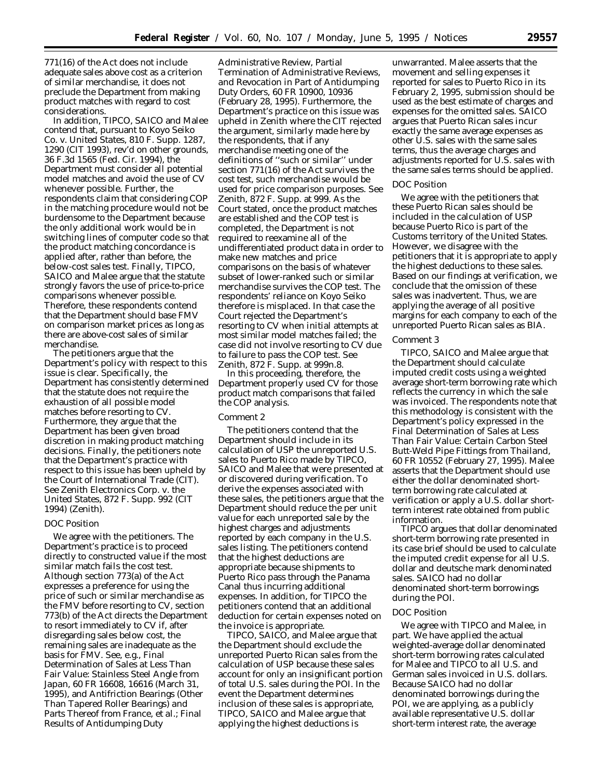771(16) of the Act does not include adequate sales above cost as a criterion of similar merchandise, it does not preclude the Department from making product matches with regard to cost considerations.

In addition, TIPCO, SAICO and Malee contend that, pursuant to *Koyo Seiko Co. v. United States,* 810 F. Supp. 1287, 1290 (CIT 1993), *rev'd on other grounds,* 36 F.3d 1565 (Fed. Cir. 1994), the Department must consider all potential model matches and avoid the use of CV whenever possible. Further, the respondents claim that considering COP in the matching procedure would not be burdensome to the Department because the only additional work would be in switching lines of computer code so that the product matching concordance is applied after, rather than before, the below-cost sales test. Finally, TIPCO, SAICO and Malee argue that the statute strongly favors the use of price-to-price comparisons whenever possible. Therefore, these respondents contend that the Department should base FMV on comparison market prices as long as there are above-cost sales of similar merchandise.

The petitioners argue that the Department's policy with respect to this issue is clear. Specifically, the Department has consistently determined that the statute does not require the exhaustion of all possible model matches before resorting to CV. Furthermore, they argue that the Department has been given broad discretion in making product matching decisions. Finally, the petitioners note that the Department's practice with respect to this issue has been upheld by the Court of International Trade (CIT). *See Zenith Electronics Corp.* v. *the United States,* 872 F. Supp. 992 (CIT 1994) (*Zenith*).

# *DOC Position*

We agree with the petitioners. The Department's practice is to proceed directly to constructed value if the most similar match fails the cost test. Although section 773(a) of the Act expresses a preference for using the price of such or similar merchandise as the FMV before resorting to CV, section 773(b) of the Act directs the Department to resort immediately to CV if, after disregarding sales below cost, the remaining sales are inadequate as the basis for FMV. *See, e.g., Final Determination of Sales at Less Than Fair Value: Stainless Steel Angle from Japan,* 60 FR 16608, 16616 (March 31, 1995), and *Antifriction Bearings (Other Than Tapered Roller Bearings) and Parts Thereof from France, et al.; Final Results of Antidumping Duty*

*Administrative Review, Partial Termination of Administrative Reviews, and Revocation in Part of Antidumping Duty Orders,* 60 FR 10900, 10936 (February 28, 1995). Furthermore, the Department's practice on this issue was upheld in *Zenith* where the CIT rejected the argument, similarly made here by the respondents, that if any merchandise meeting one of the definitions of ''such or similar'' under section 771(16) of the Act survives the cost test, such merchandise would be used for price comparison purposes. *See Zenith*, 872 F. Supp. at 999. As the Court stated, once the product matches are established and the COP test is completed, the Department is not required to reexamine all of the undifferentiated product data in order to make new matches and price comparisons on the basis of whatever subset of lower-ranked such or similar merchandise survives the COP test. The respondents' reliance on *Koyo Seiko* therefore is misplaced. In that case the Court rejected the Department's resorting to CV when initial attempts at most similar model matches failed; the case did not involve resorting to CV due to failure to pass the COP test. *See Zenith*, 872 F. Supp. at 999n.8.

In this proceeding, therefore, the Department properly used CV for those product match comparisons that failed the COP analysis.

## *Comment 2*

The petitioners contend that the Department should include in its calculation of USP the unreported U.S. sales to Puerto Rico made by TIPCO, SAICO and Malee that were presented at or discovered during verification. To derive the expenses associated with these sales, the petitioners argue that the Department should reduce the per unit value for each unreported sale by the highest charges and adjustments reported by each company in the U.S. sales listing. The petitioners contend that the highest deductions are appropriate because shipments to Puerto Rico pass through the Panama Canal thus incurring additional expenses. In addition, for TIPCO the petitioners contend that an additional deduction for certain expenses noted on the invoice is appropriate.

TIPCO, SAICO, and Malee argue that the Department should exclude the unreported Puerto Rican sales from the calculation of USP because these sales account for only an insignificant portion of total U.S. sales during the POI. In the event the Department determines inclusion of these sales is appropriate, TIPCO, SAICO and Malee argue that applying the highest deductions is

unwarranted. Malee asserts that the movement and selling expenses it reported for sales to Puerto Rico in its February 2, 1995, submission should be used as the best estimate of charges and expenses for the omitted sales. SAICO argues that Puerto Rican sales incur exactly the same average expenses as other U.S. sales with the same sales terms, thus the average charges and adjustments reported for U.S. sales with the same sales terms should be applied.

# *DOC Position*

We agree with the petitioners that these Puerto Rican sales should be included in the calculation of USP because Puerto Rico is part of the Customs territory of the United States. However, we disagree with the petitioners that it is appropriate to apply the highest deductions to these sales. Based on our findings at verification, we conclude that the omission of these sales was inadvertent. Thus, we are applying the average of all positive margins for each company to each of the unreported Puerto Rican sales as BIA.

### *Comment 3*

TIPCO, SAICO and Malee argue that the Department should calculate imputed credit costs using a weighted average short-term borrowing rate which reflects the currency in which the sale was invoiced. The respondents note that this methodology is consistent with the Department's policy expressed in the *Final Determination of Sales at Less Than Fair Value: Certain Carbon Steel Butt-Weld Pipe Fittings from Thailand,* 60 FR 10552 (February 27, 1995). Malee asserts that the Department should use either the dollar denominated shortterm borrowing rate calculated at verification or apply a U.S. dollar shortterm interest rate obtained from public information.

TIPCO argues that dollar denominated short-term borrowing rate presented in its case brief should be used to calculate the imputed credit expense for all U.S. dollar and deutsche mark denominated sales. SAICO had no dollar denominated short-term borrowings during the POI.

### *DOC Position*

We agree with TIPCO and Malee, in part. We have applied the actual weighted-average dollar denominated short-term borrowing rates calculated for Malee and TIPCO to all U.S. and German sales invoiced in U.S. dollars. Because SAICO had no dollar denominated borrowings during the POI, we are applying, as a publicly available representative U.S. dollar short-term interest rate, the average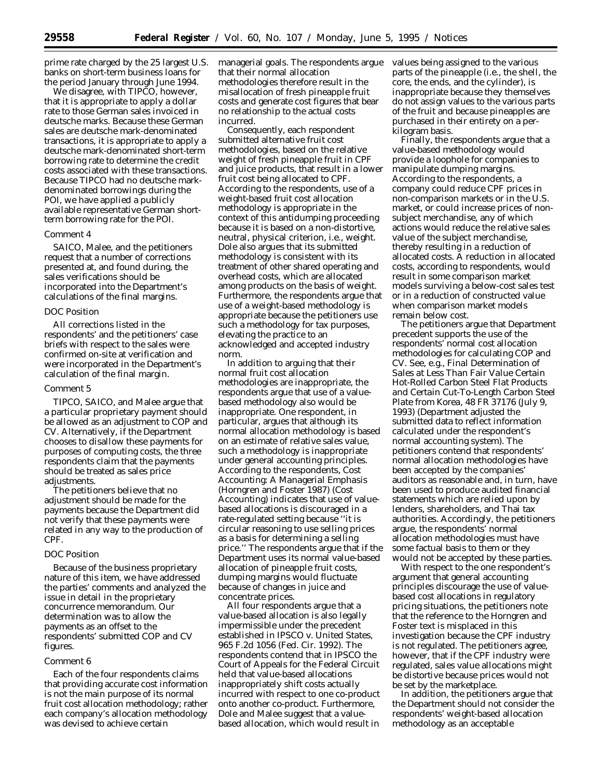prime rate charged by the 25 largest U.S. banks on short-term business loans for the period January through June 1994.

We disagree, with TIPCO, however, that it is appropriate to apply a dollar rate to those German sales invoiced in deutsche marks. Because these German sales are deutsche mark-denominated transactions, it is appropriate to apply a deutsche mark-denominated short-term borrowing rate to determine the credit costs associated with these transactions. Because TIPCO had no deutsche markdenominated borrowings during the POI, we have applied a publicly available representative German shortterm borrowing rate for the POI.

#### *Comment 4*

SAICO, Malee, and the petitioners request that a number of corrections presented at, and found during, the sales verifications should be incorporated into the Department's calculations of the final margins.

# *DOC Position*

All corrections listed in the respondents' and the petitioners' case briefs with respect to the sales were confirmed on-site at verification and were incorporated in the Department's calculation of the final margin.

#### *Comment 5*

TIPCO, SAICO, and Malee argue that a particular proprietary payment should be allowed as an adjustment to COP and CV. Alternatively, if the Department chooses to disallow these payments for purposes of computing costs, the three respondents claim that the payments should be treated as sales price adjustments.

The petitioners believe that no adjustment should be made for the payments because the Department did not verify that these payments were related in any way to the production of CPF.

# *DOC Position*

Because of the business proprietary nature of this item, we have addressed the parties' comments and analyzed the issue in detail in the proprietary concurrence memorandum. Our determination was to allow the payments as an offset to the respondents' submitted COP and CV figures.

#### *Comment 6*

Each of the four respondents claims that providing accurate cost information is not the main purpose of its normal fruit cost allocation methodology; rather each company's allocation methodology was devised to achieve certain

managerial goals. The respondents argue that their normal allocation methodologies therefore result in the misallocation of fresh pineapple fruit costs and generate cost figures that bear no relationship to the actual costs incurred.

Consequently, each respondent submitted alternative fruit cost methodologies, based on the relative weight of fresh pineapple fruit in CPF and juice products, that result in a lower fruit cost being allocated to CPF. According to the respondents, use of a weight-based fruit cost allocation methodology is appropriate in the context of this antidumping proceeding because it is based on a non-distortive, neutral, physical criterion, *i.e.,* weight. Dole also argues that its submitted methodology is consistent with its treatment of other shared operating and overhead costs, which are allocated among products on the basis of weight. Furthermore, the respondents argue that use of a weight-based methodology is appropriate because the petitioners use such a methodology for tax purposes, elevating the practice to an acknowledged and accepted industry norm.

In addition to arguing that their normal fruit cost allocation methodologies are inappropriate, the respondents argue that use of a valuebased methodology also would be inappropriate. One respondent, in particular, argues that although its normal allocation methodology is based on an estimate of relative sales value, such a methodology is inappropriate under general accounting principles. According to the respondents, *Cost Accounting: A Managerial Emphasis* (Horngren and Foster 1987) (*Cost Accounting*) indicates that use of valuebased allocations is discouraged in a rate-regulated setting because ''it is circular reasoning to use selling prices as a basis for determining a selling price.'' The respondents argue that if the Department uses its normal value-based allocation of pineapple fruit costs, dumping margins would fluctuate because of changes in juice and concentrate prices.

All four respondents argue that a value-based allocation is also legally impermissible under the precedent established in *IPSCO v. United States,* 965 F.2d 1056 (Fed. Cir. 1992). The respondents contend that in *IPSCO* the Court of Appeals for the Federal Circuit held that value-based allocations inappropriately shift costs actually incurred with respect to one co-product onto another co-product. Furthermore, Dole and Malee suggest that a valuebased allocation, which would result in values being assigned to the various parts of the pineapple (*i.e.*, the shell, the core, the ends, and the cylinder), is inappropriate because they themselves do not assign values to the various parts of the fruit and because pineapples are purchased in their entirety on a perkilogram basis.

Finally, the respondents argue that a value-based methodology would provide a loophole for companies to manipulate dumping margins. According to the respondents, a company could reduce CPF prices in non-comparison markets or in the U.S. market, or could increase prices of nonsubject merchandise, any of which actions would reduce the relative sales value of the subject merchandise, thereby resulting in a reduction of allocated costs. A reduction in allocated costs, according to respondents, would result in some comparison market models surviving a below-cost sales test or in a reduction of constructed value when comparison market models remain below cost.

The petitioners argue that Department precedent supports the use of the respondents' normal cost allocation methodologies for calculating COP and CV. *See, e.g., Final Determination of Sales at Less Than Fair Value Certain Hot-Rolled Carbon Steel Flat Products and Certain Cut-To-Length Carbon Steel Plate from Korea,* 48 FR 37176 (July 9, 1993) (Department adjusted the submitted data to reflect information calculated under the respondent's normal accounting system). The petitioners contend that respondents' normal allocation methodologies have been accepted by the companies' auditors as reasonable and, in turn, have been used to produce audited financial statements which are relied upon by lenders, shareholders, and Thai tax authorities. Accordingly, the petitioners argue, the respondents' normal allocation methodologies must have some factual basis to them or they would not be accepted by these parties.

With respect to the one respondent's argument that general accounting principles discourage the use of valuebased cost allocations in regulatory pricing situations, the petitioners note that the reference to the Horngren and Foster text is misplaced in this investigation because the CPF industry is not regulated. The petitioners agree, however, that if the CPF industry were regulated, sales value allocations might be distortive because prices would not be set by the marketplace.

In addition, the petitioners argue that the Department should not consider the respondents' weight-based allocation methodology as an acceptable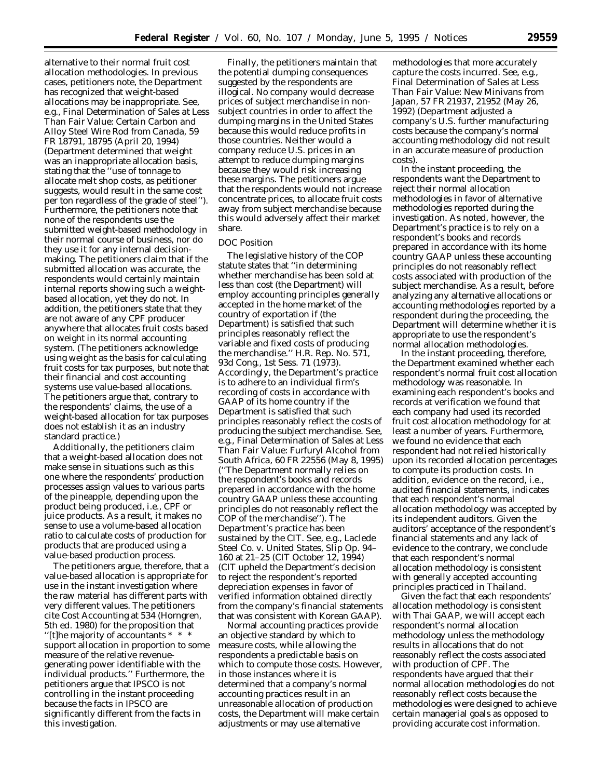alternative to their normal fruit cost allocation methodologies. In previous cases, petitioners note, the Department has recognized that weight-based allocations may be inappropriate. *See, e.g., Final Determination of Sales at Less Than Fair Value: Certain Carbon and Alloy Steel Wire Rod from Canada,* 59 FR 18791, 18795 (April 20, 1994) (Department determined that weight was an inappropriate allocation basis, stating that the ''use of tonnage to allocate melt shop costs, as petitioner suggests, would result in the same cost per ton regardless of the grade of steel''). Furthermore, the petitioners note that none of the respondents use the submitted weight-based methodology in their normal course of business, nor do they use it for any internal decisionmaking. The petitioners claim that if the submitted allocation was accurate, the respondents would certainly maintain internal reports showing such a weightbased allocation, yet they do not. In addition, the petitioners state that they are not aware of any CPF producer anywhere that allocates fruit costs based on weight in its normal accounting system. (The petitioners acknowledge using weight as the basis for calculating fruit costs for tax purposes, but note that their financial and cost accounting systems use value-based allocations. The petitioners argue that, contrary to the respondents' claims, the use of a weight-based allocation for tax purposes does not establish it as an industry standard practice.)

Additionally, the petitioners claim that a weight-based allocation does not make sense in situations such as this one where the respondents' production processes assign values to various parts of the pineapple, depending upon the product being produced, *i.e.,* CPF or juice products. As a result, it makes no sense to use a volume-based allocation ratio to calculate costs of production for products that are produced using a value-based production process.

The petitioners argue, therefore, that a value-based allocation is appropriate for use in the instant investigation where the raw material has different parts with very different values. The petitioners cite *Cost Accounting* at 534 (Horngren, 5th ed. 1980) for the proposition that ''[t]he majority of accountants \* \* \* support allocation in proportion to some measure of the relative revenuegenerating power identifiable with the individual products.'' Furthermore, the petitioners argue that *IPSCO* is not controlling in the instant proceeding because the facts in *IPSCO* are significantly different from the facts in this investigation.

Finally, the petitioners maintain that the potential dumping consequences suggested by the respondents are illogical. No company would decrease prices of subject merchandise in nonsubject countries in order to affect the dumping margins in the United States because this would reduce profits in those countries. Neither would a company reduce U.S. prices in an attempt to reduce dumping margins because they would risk increasing these margins. The petitioners argue that the respondents would not increase concentrate prices, to allocate fruit costs away from subject merchandise because this would adversely affect their market share.

# *DOC Position*

The legislative history of the COP statute states that ''in determining whether merchandise has been sold at less than cost (the Department) will employ accounting principles generally accepted in the home market of the country of exportation if (the Department) is satisfied that such principles reasonably reflect the variable and fixed costs of producing the merchandise.'' H.R. Rep. No. 571, 93d Cong., 1st Sess. 71 (1973). Accordingly, the Department's practice is to adhere to an individual firm's recording of costs in accordance with GAAP of its home country if the Department is satisfied that such principles reasonably reflect the costs of producing the subject merchandise. *See, e.g., Final Determination of Sales at Less Than Fair Value: Furfuryl Alcohol from South Africa,* 60 FR 22556 (May 8, 1995) (''The Department normally relies on the respondent's books and records prepared in accordance with the home country GAAP unless these accounting principles do not reasonably reflect the COP of the merchandise''). The Department's practice has been sustained by the CIT. *See, e.g., Laclede Steel Co.* v. *United States,* Slip Op. 94– 160 at 21–25 (CIT October 12, 1994) (CIT upheld the Department's decision to reject the respondent's reported depreciation expenses in favor of verified information obtained directly from the company's financial statements that was consistent with Korean GAAP).

Normal accounting practices provide an objective standard by which to measure costs, while allowing the respondents a predictable basis on which to compute those costs. However, in those instances where it is determined that a company's normal accounting practices result in an unreasonable allocation of production costs, the Department will make certain adjustments or may use alternative

methodologies that more accurately capture the costs incurred. *See, e.g., Final Determination of Sales at Less Than Fair Value: New Minivans from Japan,* 57 FR 21937, 21952 (May 26, 1992) (Department adjusted a company's U.S. further manufacturing costs because the company's normal accounting methodology did not result in an accurate measure of production costs).

In the instant proceeding, the respondents want the Department to reject their normal allocation methodologies in favor of alternative methodologies reported during the investigation. As noted, however, the Department's practice is to rely on a respondent's books and records prepared in accordance with its home country GAAP unless these accounting principles do not reasonably reflect costs associated with production of the subject merchandise. As a result, before analyzing any alternative allocations or accounting methodologies reported by a respondent during the proceeding, the Department will determine whether it is appropriate to use the respondent's normal allocation methodologies.

In the instant proceeding, therefore, the Department examined whether each respondent's normal fruit cost allocation methodology was reasonable. In examining each respondent's books and records at verification we found that each company had used its recorded fruit cost allocation methodology for at least a number of years. Furthermore, we found no evidence that each respondent had not relied historically upon its recorded allocation percentages to compute its production costs. In addition, evidence on the record, *i.e.*, audited financial statements, indicates that each respondent's normal allocation methodology was accepted by its independent auditors. Given the auditors' acceptance of the respondent's financial statements and any lack of evidence to the contrary, we conclude that each respondent's normal allocation methodology is consistent with generally accepted accounting principles practiced in Thailand.

Given the fact that each respondents' allocation methodology is consistent with Thai GAAP, we will accept each respondent's normal allocation methodology unless the methodology results in allocations that do not reasonably reflect the costs associated with production of CPF. The respondents have argued that their normal allocation methodologies do not reasonably reflect costs because the methodologies were designed to achieve certain managerial goals as opposed to providing accurate cost information.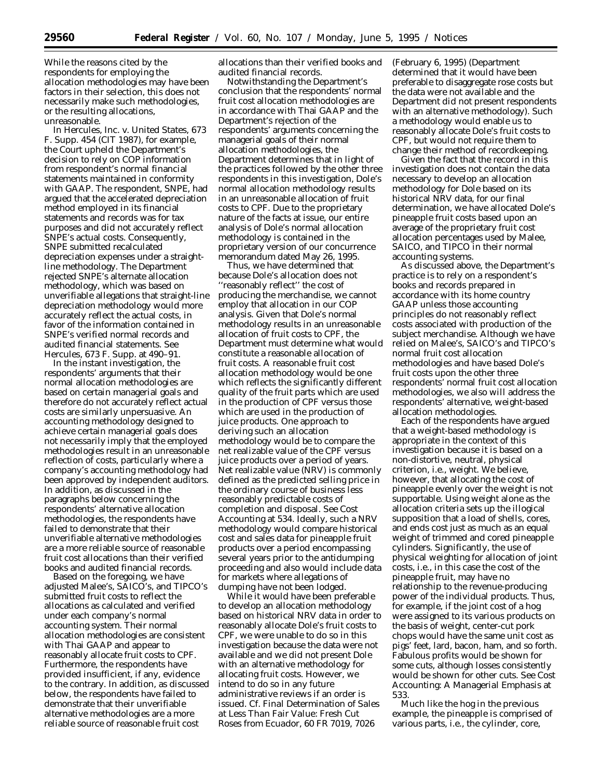While the reasons cited by the respondents for employing the allocation methodologies may have been factors in their selection, this does not necessarily make such methodologies, or the resulting allocations, unreasonable.

In *Hercules, Inc. v. United States,* 673 F. Supp. 454 (CIT 1987), for example, the Court upheld the Department's decision to rely on COP information from respondent's normal financial statements maintained in conformity with GAAP. The respondent, SNPE, had argued that the accelerated depreciation method employed in its financial statements and records was for tax purposes and did not accurately reflect SNPE's actual costs. Consequently, SNPE submitted recalculated depreciation expenses under a straightline methodology. The Department rejected SNPE's alternate allocation methodology, which was based on unverifiable allegations that straight-line depreciation methodology would more accurately reflect the actual costs, in favor of the information contained in SNPE's verified normal records and audited financial statements. *See Hercules,* 673 F. Supp. at 490–91.

In the instant investigation, the respondents' arguments that their normal allocation methodologies are based on certain managerial goals and therefore do not accurately reflect actual costs are similarly unpersuasive. An accounting methodology designed to achieve certain managerial goals does not *necessarily* imply that the employed methodologies result in an unreasonable reflection of costs, particularly where a company's accounting methodology had been approved by independent auditors. In addition, as discussed in the paragraphs below concerning the respondents' alternative allocation methodologies, the respondents have failed to demonstrate that their unverifiable alternative methodologies are a more reliable source of reasonable fruit cost allocations than their verified books and audited financial records.

Based on the foregoing, we have adjusted Malee's, SAICO's, and TIPCO's submitted fruit costs to reflect the allocations as calculated and verified under each company's normal accounting system. Their normal allocation methodologies are consistent with Thai GAAP and appear to reasonably allocate fruit costs to CPF. Furthermore, the respondents have provided insufficient, if any, evidence to the contrary. In addition, as discussed below, the respondents have failed to demonstrate that their unverifiable alternative methodologies are a more reliable source of reasonable fruit cost

allocations than their verified books and audited financial records.

Notwithstanding the Department's conclusion that the respondents' normal fruit cost allocation methodologies are in accordance with Thai GAAP and the Department's rejection of the respondents' arguments concerning the managerial goals of their normal allocation methodologies, the Department determines that in light of the practices followed by the other three respondents in this investigation, Dole's normal allocation methodology results in an unreasonable allocation of fruit costs to CPF. Due to the proprietary nature of the facts at issue, our entire analysis of Dole's normal allocation methodology is contained in the proprietary version of our concurrence memorandum dated May 26, 1995.

Thus, we have determined that because Dole's allocation does not ''reasonably reflect'' the cost of producing the merchandise, we cannot employ that allocation in our COP analysis. Given that Dole's normal methodology results in an unreasonable allocation of fruit costs to CPF, the Department must determine what would constitute a reasonable allocation of fruit costs. A reasonable fruit cost allocation methodology would be one which reflects the significantly different quality of the fruit parts which are used in the production of CPF versus those which are used in the production of juice products. One approach to deriving such an allocation methodology would be to compare the net realizable value of the CPF versus juice products over a period of years. Net realizable value (NRV) is commonly defined as the predicted selling price in the ordinary course of business less reasonably predictable costs of completion and disposal. *See Cost Accounting* at 534. Ideally, such a NRV methodology would compare historical cost and sales data for pineapple fruit products over a period encompassing several years prior to the antidumping proceeding and also would include data for markets where allegations of dumping have not been lodged.

While it would have been preferable to develop an allocation methodology based on historical NRV data in order to reasonably allocate Dole's fruit costs to CPF, we were unable to do so in this investigation because the data were not available and we did not present Dole with an alternative methodology for allocating fruit costs. However, we intend to do so in any future administrative reviews if an order is issued. *Cf. Final Determination of Sales at Less Than Fair Value: Fresh Cut Roses from Ecuador,* 60 FR 7019, 7026

(February 6, 1995) (Department determined that it would have been preferable to disaggregate rose costs but the data were not available and the Department did not present respondents with an alternative methodology). Such a methodology would enable us to reasonably allocate Dole's fruit costs to CPF, but would not require them to change their method of recordkeeping.

Given the fact that the record in this investigation does not contain the data necessary to develop an allocation methodology for Dole based on its historical NRV data, for our final determination, we have allocated Dole's pineapple fruit costs based upon an average of the proprietary fruit cost allocation percentages used by Malee, SAICO, and TIPCO in their normal accounting systems.

As discussed above, the Department's practice is to rely on a respondent's books and records prepared in accordance with its home country GAAP *unless* those accounting principles do not reasonably reflect costs associated with production of the subject merchandise. Although we have relied on Malee's, SAICO's and TIPCO's normal fruit cost allocation methodologies and have based Dole's fruit costs upon the other three respondents' normal fruit cost allocation methodologies, we also will address the respondents' alternative, weight-based allocation methodologies.

Each of the respondents have argued that a weight-based methodology is appropriate in the context of this investigation because it is based on a non-distortive, neutral, physical criterion, *i.e.*, weight. We believe, however, that allocating the cost of pineapple evenly over the weight is not supportable. Using weight alone as the allocation criteria sets up the illogical supposition that a load of shells, cores, and ends cost just as much as an equal weight of trimmed and cored pineapple cylinders. Significantly, the use of physical weighting for allocation of joint costs, *i.e.*, in this case the cost of the pineapple fruit, may have no relationship to the revenue-producing power of the individual products. Thus, for example, if the joint cost of a hog were assigned to its various products on the basis of weight, center-cut pork chops would have the same unit cost as pigs' feet, lard, bacon, ham, and so forth. Fabulous profits would be shown for some cuts, although losses consistently would be shown for other cuts. *See Cost Accounting: A Managerial Emphasis* at 533.

Much like the hog in the previous example, the pineapple is comprised of various parts, *i.e.*, the cylinder, core,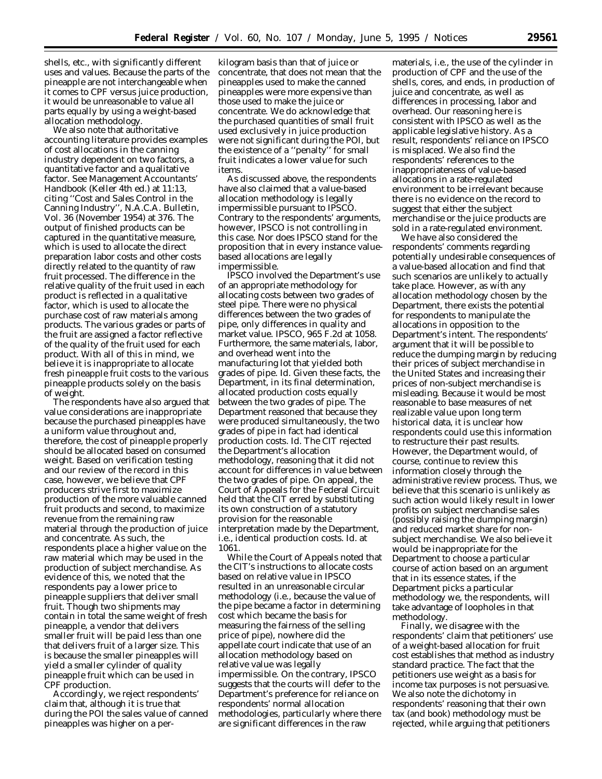shells, etc., with significantly different uses and values. Because the parts of the pineapple are not interchangeable when it comes to CPF versus juice production, it would be unreasonable to value all parts equally by using a weight-based allocation methodology.

We also note that authoritative accounting literature provides examples of cost allocations in the canning industry dependent on two factors, a quantitative factor and a qualitative factor. *See Management Accountants' Handbook* (Keller 4th ed.) at 11:13, citing ''Cost and Sales Control in the Canning Industry'', N.A.C.A. Bulletin, Vol. 36 (November 1954) at 376. The output of finished products can be captured in the quantitative measure, which is used to allocate the direct preparation labor costs and other costs directly related to the quantity of raw fruit processed. The difference in the relative quality of the fruit used in each product is reflected in a qualitative factor, which is used to allocate the purchase cost of raw materials among products. The various grades or parts of the fruit are assigned a factor reflective of the quality of the fruit used for each product. With all of this in mind, we believe it is inappropriate to allocate fresh pineapple fruit costs to the various pineapple products solely on the basis of weight.

The respondents have also argued that value considerations are inappropriate because the purchased pineapples have a uniform value throughout and, therefore, the cost of pineapple properly should be allocated based on consumed weight. Based on verification testing and our review of the record in this case, however, we believe that CPF producers strive first to maximize production of the more valuable canned fruit products and second, to maximize revenue from the remaining raw material through the production of juice and concentrate. As such, the respondents place a higher value on the raw material which may be used in the production of subject merchandise. As evidence of this, we noted that the respondents pay a lower price to pineapple suppliers that deliver small fruit. Though two shipments may contain in total the same weight of fresh pineapple, a vendor that delivers smaller fruit will be paid less than one that delivers fruit of a larger size. This is because the smaller pineapples will yield a smaller cylinder of quality pineapple fruit which can be used in CPF production.

Accordingly, we reject respondents' claim that, although it is true that during the POI the sales value of canned pineapples was higher on a per-

kilogram basis than that of juice or concentrate, that does not mean that the pineapples used to make the canned pineapples were more expensive than those used to make the juice or concentrate. We do acknowledge that the purchased quantities of small fruit used exclusively in juice production were not significant during the POI, but the existence of a ''penalty'' for small fruit indicates a lower value for such items.

As discussed above, the respondents have also claimed that a value-based allocation methodology is legally impermissible pursuant to *IPSCO.* Contrary to the respondents' arguments, however, *IPSCO* is not controlling in this case. Nor does *IPSCO* stand for the proposition that in every instance valuebased allocations are legally impermissible.

*IPSCO* involved the Department's use of an appropriate methodology for allocating costs between two *grades* of steel pipe. There were no physical differences between the two grades of pipe, only differences in quality and market value. *IPSCO,* 965 F.2d at 1058. Furthermore, the same materials, labor, and overhead went into the manufacturing lot that yielded both grades of pipe. *Id.* Given these facts, the Department, in its final determination, allocated production costs equally between the two grades of pipe. The Department reasoned that because they were produced simultaneously, the two grades of pipe in fact had identical production costs. *Id.* The CIT rejected the Department's allocation methodology, reasoning that it did not account for differences in value between the two grades of pipe. On appeal, the Court of Appeals for the Federal Circuit held that the CIT erred by substituting its own construction of a statutory provision for the reasonable interpretation made by the Department, *i.e.*, identical production costs. *Id.* at 1061.

While the Court of Appeals noted that the CIT's instructions to allocate costs based on relative value in *IPSCO* resulted in an unreasonable circular methodology (*i.e.*, because the value of the pipe became a factor in determining cost which became the basis for measuring the fairness of the selling price of pipe), nowhere did the appellate court indicate that use of an allocation methodology based on relative value was legally impermissible. On the contrary, *IPSCO* suggests that the courts will defer to the Department's preference for reliance on respondents' normal allocation methodologies, particularly where there are significant differences in the raw

materials, *i.e.*, the use of the cylinder in production of CPF and the use of the shells, cores, and ends, in production of juice and concentrate, as well as differences in processing, labor and overhead. Our reasoning here is consistent with *IPSCO* as well as the applicable legislative history. As a result, respondents' reliance on *IPSCO* is misplaced. We also find the respondents' references to the inappropriateness of value-based allocations in a rate-regulated environment to be irrelevant because there is no evidence on the record to suggest that either the subject merchandise or the juice products are sold in a rate-regulated environment.

We have also considered the respondents' comments regarding potentially undesirable consequences of a value-based allocation and find that such scenarios are unlikely to actually take place. However, as with any allocation methodology chosen by the Department, there exists the potential for respondents to manipulate the allocations in opposition to the Department's intent. The respondents' argument that it will be possible to reduce the dumping margin by reducing their prices of subject merchandise in the United States and increasing their prices of non-subject merchandise is misleading. Because it would be most reasonable to base measures of net realizable value upon long term historical data, it is unclear how respondents could use this information to restructure their past results. However, the Department would, of course, continue to review this information closely through the administrative review process. Thus, we believe that this scenario is unlikely as such action would likely result in lower profits on subject merchandise sales (possibly raising the dumping margin) and reduced market share for nonsubject merchandise. We also believe it would be inappropriate for the Department to choose a particular course of action based on an argument that in its essence states, if the Department picks a particular methodology we, the respondents, will take advantage of loopholes in that methodology.

Finally, we disagree with the respondents' claim that petitioners' use of a weight-based allocation for fruit cost establishes that method as industry standard practice. The fact that the petitioners use weight as a basis for income tax purposes is not persuasive. We also note the dichotomy in respondents' reasoning that their own tax (and book) methodology must be rejected, while arguing that petitioners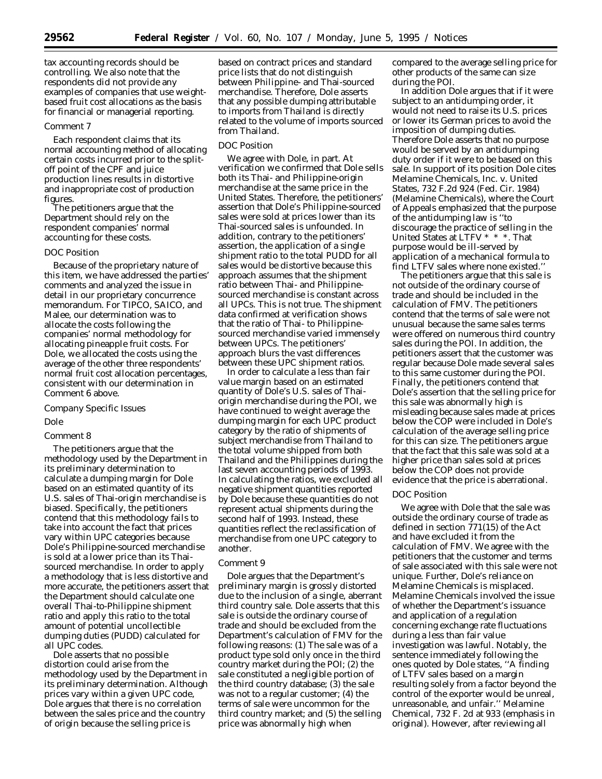tax accounting records should be controlling. We also note that the respondents did not provide any examples of companies that use weightbased fruit cost allocations as the basis for financial or managerial reporting.

#### *Comment 7*

Each respondent claims that its normal accounting method of allocating certain costs incurred prior to the splitoff point of the CPF and juice production lines results in distortive and inappropriate cost of production figures.

The petitioners argue that the Department should rely on the respondent companies' normal accounting for these costs.

# *DOC Position*

Because of the proprietary nature of this item, we have addressed the parties' comments and analyzed the issue in detail in our proprietary concurrence memorandum. For TIPCO, SAICO, and Malee, our determination was to allocate the costs following the companies' normal methodology for allocating pineapple fruit costs. For Dole, we allocated the costs using the average of the other three respondents' normal fruit cost allocation percentages, consistent with our determination in Comment 6 above.

# *Company Specific Issues*

# *Dole*

# *Comment 8*

The petitioners argue that the methodology used by the Department in its preliminary determination to calculate a dumping margin for Dole based on an estimated quantity of its U.S. sales of Thai-origin merchandise is biased. Specifically, the petitioners contend that this methodology fails to take into account the fact that prices vary within UPC categories because Dole's Philippine-sourced merchandise is sold at a lower price than its Thaisourced merchandise. In order to apply a methodology that is less distortive and more accurate, the petitioners assert that the Department should calculate one overall Thai-to-Philippine shipment ratio and apply this ratio to the total amount of potential uncollectible dumping duties (PUDD) calculated for all UPC codes.

Dole asserts that no possible distortion could arise from the methodology used by the Department in its preliminary determination. Although prices vary within a given UPC code, Dole argues that there is no correlation between the sales price and the country of origin because the selling price is

based on contract prices and standard price lists that do not distinguish between Philippine- and Thai-sourced merchandise. Therefore, Dole asserts that any possible dumping attributable to imports from Thailand is directly related to the volume of imports sourced from Thailand.

### *DOC Position*

We agree with Dole, in part. At verification we confirmed that Dole sells both its Thai- and Philippine-origin merchandise at the same price in the United States. Therefore, the petitioners' assertion that Dole's Philippine-sourced sales were sold at prices lower than its Thai-sourced sales is unfounded. In addition, contrary to the petitioners' assertion, the application of a single shipment ratio to the total PUDD for all sales would be distortive because this approach assumes that the shipment ratio between Thai- and Philippinesourced merchandise is constant across all UPCs. This is not true. The shipment data confirmed at verification shows that the ratio of Thai- to Philippinesourced merchandise varied immensely between UPCs. The petitioners' approach blurs the vast differences between these UPC shipment ratios.

In order to calculate a less than fair value margin based on an estimated quantity of Dole's U.S. sales of Thaiorigin merchandise during the POI, we have continued to weight average the dumping margin for each UPC product category by the ratio of shipments of subject merchandise from Thailand to the total volume shipped from both Thailand and the Philippines during the last seven accounting periods of 1993. In calculating the ratios, we excluded all negative shipment quantities reported by Dole because these quantities do not represent actual shipments during the second half of 1993. Instead, these quantities reflect the reclassification of merchandise from one UPC category to another.

# *Comment 9*

Dole argues that the Department's preliminary margin is grossly distorted due to the inclusion of a single, aberrant third country sale. Dole asserts that this sale is outside the ordinary course of trade and should be excluded from the Department's calculation of FMV for the following reasons: (1) The sale was of a product type sold only once in the third country market during the POI; (2) the sale constituted a negligible portion of the third country database; (3) the sale was not to a regular customer; (4) the terms of sale were uncommon for the third country market; and (5) the selling price was abnormally high when

compared to the average selling price for other products of the same can size during the POI.

In addition Dole argues that if it were subject to an antidumping order, it would not need to raise its U.S. prices or lower its German prices to avoid the imposition of dumping duties. Therefore Dole asserts that no purpose would be served by an antidumping duty order if it were to be based on this sale. In support of its position Dole cites *Melamine Chemicals, Inc.* v. *United States*, 732 F.2d 924 (Fed. Cir. 1984) (*Melamine Chemicals*), where the Court of Appeals emphasized that the purpose of the antidumping law is ''to discourage the practice of selling in the United States at LTFV \* \* \*. That purpose would be ill-served by application of a mechanical formula to find LTFV sales where none existed.''

The petitioners argue that this sale is not outside of the ordinary course of trade and should be included in the calculation of FMV. The petitioners contend that the terms of sale were not unusual because the same sales terms were offered on numerous third country sales during the POI. In addition, the petitioners assert that the customer was regular because Dole made several sales to this same customer during the POI. Finally, the petitioners contend that Dole's assertion that the selling price for this sale was abnormally high is misleading because sales made at prices below the COP were included in Dole's calculation of the average selling price for this can size. The petitioners argue that the fact that this sale was sold at a higher price than sales sold at prices below the COP does not provide evidence that the price is aberrational.

# *DOC Position*

We agree with Dole that the sale was outside the ordinary course of trade as defined in section 771(15) of the Act and have excluded it from the calculation of FMV. We agree with the petitioners that the customer and terms of sale associated with this sale were not unique. Further, Dole's reliance on Melamine Chemicals is misplaced. *Melamine Chemicals* involved the issue of whether the Department's issuance and application of a regulation concerning exchange rate fluctuations during a less than fair value investigation was lawful. Notably, the sentence immediately following the ones quoted by Dole states, ''A finding of LTFV sales based on a margin resulting *solely* from a factor beyond the control of the exporter would be unreal, unreasonable, and unfair.'' *Melamine Chemical,* 732 F. 2d at 933 (emphasis in original). However, after reviewing all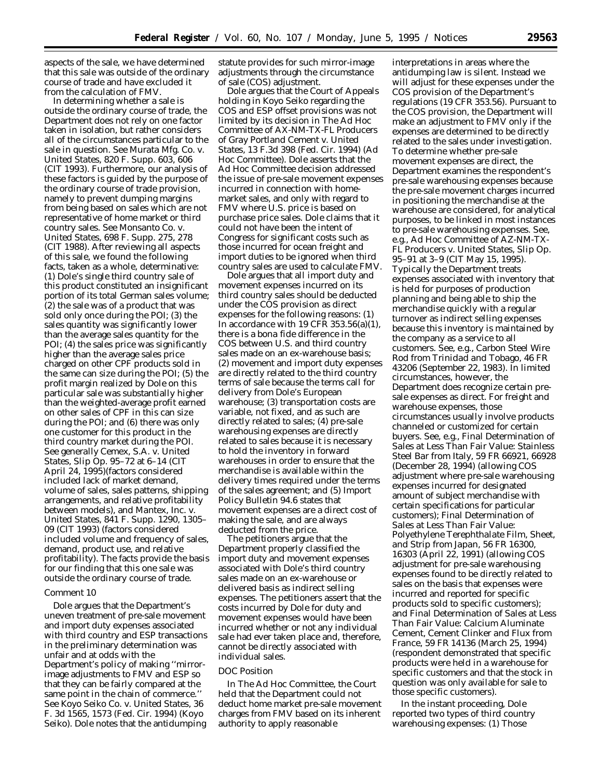aspects of the sale, we have determined that this sale was outside of the ordinary course of trade and have excluded it from the calculation of FMV.

In determining whether a sale is outside the ordinary course of trade, the Department does not rely on one factor taken in isolation, but rather considers all of the circumstances particular to the sale in question. *See Murata Mfg. Co. v. United States,* 820 F. Supp. 603, 606 (CIT 1993). Furthermore, our analysis of these factors is guided by the purpose of the ordinary course of trade provision, namely to prevent dumping margins from being based on sales which are not representative of home market or third country sales. *See Monsanto Co. v. United States,* 698 F. Supp. 275, 278 (CIT 1988). After reviewing all aspects of this sale, we found the following facts, taken as a whole, determinative: (1) Dole's single third country sale of this product constituted an insignificant portion of its total German sales volume; (2) the sale was of a product that was sold only once during the POI; (3) the sales quantity was significantly lower than the average sales quantity for the POI; (4) the sales price was significantly higher than the average sales price charged on other CPF products sold in the same can size during the POI; (5) the profit margin realized by Dole on this particular sale was substantially higher than the weighted-average profit earned on other sales of CPF in this can size during the POI; and (6) there was only one customer for this product in the third country market during the POI. *See generally Cemex, S.A. v. United States,* Slip Op. 95–72 at 6–14 (CIT April 24, 1995)(factors considered included lack of market demand, volume of sales, sales patterns, shipping arrangements, and relative profitability between models), and *Mantex, Inc. v. United States,* 841 F. Supp. 1290, 1305– 09 (CIT 1993) (factors considered included volume and frequency of sales, demand, product use, and relative profitability). The facts provide the basis for our finding that this one sale was outside the ordinary course of trade.

#### *Comment 10*

Dole argues that the Department's uneven treatment of pre-sale movement and import duty expenses associated with third country and ESP transactions in the preliminary determination was unfair and at odds with the Department's policy of making ''mirrorimage adjustments to FMV and ESP so that they can be fairly compared at the same point in the chain of commerce.'' *See Koyo Seiko Co. v. United States,* 36 F. 3d 1565, 1573 (Fed. Cir. 1994) (Koyo Seiko). Dole notes that the antidumping

statute provides for such mirror-image adjustments through the circumstance of sale (COS) adjustment.

Dole argues that the Court of Appeals holding in *Koyo Seiko* regarding the COS and ESP offset provisions was not limited by its decision in *The Ad Hoc Committee of AX-NM-TX-FL Producers of Gray Portland Cement v. United States,* 13 F.3d 398 (Fed. Cir. 1994) (*Ad Hoc Committee*). Dole asserts that the *Ad Hoc Committee* decision addressed the issue of pre-sale movement expenses incurred in connection with homemarket sales, and only with regard to FMV where U.S. price is based on purchase price sales. Dole claims that it could not have been the intent of Congress for significant costs such as those incurred for ocean freight and import duties to be ignored when third country sales are used to calculate FMV.

Dole argues that all import duty and movement expenses incurred on its third country sales should be deducted under the COS provision as direct expenses for the following reasons: (1) In accordance with 19 CFR 353.56(a)(1), there is a *bona fide* difference in the COS between U.S. and third country sales made on an ex-warehouse basis; (2) movement and import duty expenses are directly related to the third country terms of sale because the terms call for delivery from Dole's European warehouse; (3) transportation costs are variable, not fixed, and as such are directly related to sales; (4) pre-sale warehousing expenses are directly related to sales because it is necessary to hold the inventory in forward warehouses in order to ensure that the merchandise is available within the delivery times required under the terms of the sales agreement; and (5) *Import Policy Bulletin 94.6* states that movement expenses are a direct cost of making the sale, and are always deducted from the price.

The petitioners argue that the Department properly classified the import duty and movement expenses associated with Dole's third country sales made on an ex-warehouse or delivered basis as indirect selling expenses. The petitioners assert that the costs incurred by Dole for duty and movement expenses would have been incurred whether or not any individual sale had ever taken place and, therefore, cannot be directly associated with individual sales.

#### *DOC Position*

In The *Ad Hoc Committee,* the Court held that the Department could not deduct home market pre-sale movement charges from FMV based on its inherent authority to apply reasonable

interpretations in areas where the antidumping law is silent. Instead we will adjust for these expenses under the COS provision of the Department's regulations (19 CFR 353.56). Pursuant to the COS provision, the Department will make an adjustment to FMV only if the expenses are determined to be directly related to the sales under investigation. To determine whether pre-sale movement expenses are direct, the Department examines the respondent's pre-sale warehousing expenses because the pre-sale movement charges incurred in positioning the merchandise at the warehouse are considered, for analytical purposes, to be linked in most instances to pre-sale warehousing expenses. *See, e.g., Ad Hoc Committee of AZ-NM-TX-FL Producers v. United States,* Slip Op. 95–91 at 3–9 (CIT May 15, 1995). Typically the Department treats expenses associated with inventory that is held for purposes of production planning and being able to ship the merchandise quickly with a regular turnover as indirect selling expenses because this inventory is maintained by the company as a service to all customers. *See, e.g., Carbon Steel Wire Rod from Trinidad and Tobago,* 46 FR 43206 (September 22, 1983). In limited circumstances, however, the Department does recognize certain presale expenses as direct. For freight and warehouse expenses, those circumstances usually involve products channeled or customized for certain buyers. *See, e.g., Final Determination of Sales at Less Than Fair Value: Stainless Steel Bar from Italy,* 59 FR 66921, 66928 (December 28, 1994) (allowing COS adjustment where pre-sale warehousing expenses incurred for designated amount of subject merchandise with certain specifications for particular customers); *Final Determination of Sales at Less Than Fair Value: Polyethylene Terephthalate Film, Sheet, and Strip from Japan,* 56 FR 16300, 16303 (April 22, 1991) (allowing COS adjustment for pre-sale warehousing expenses found to be directly related to sales on the basis that expenses were incurred and reported for specific products sold to specific customers); and *Final Determination of Sales at Less Than Fair Value: Calcium Aluminate Cement, Cement Clinker and Flux from France,* 59 FR 14136 (March 25, 1994) (respondent demonstrated that specific products were held in a warehouse for specific customers and that the stock in question was only available for sale to those specific customers).

In the instant proceeding, Dole reported two types of third country warehousing expenses: (1) Those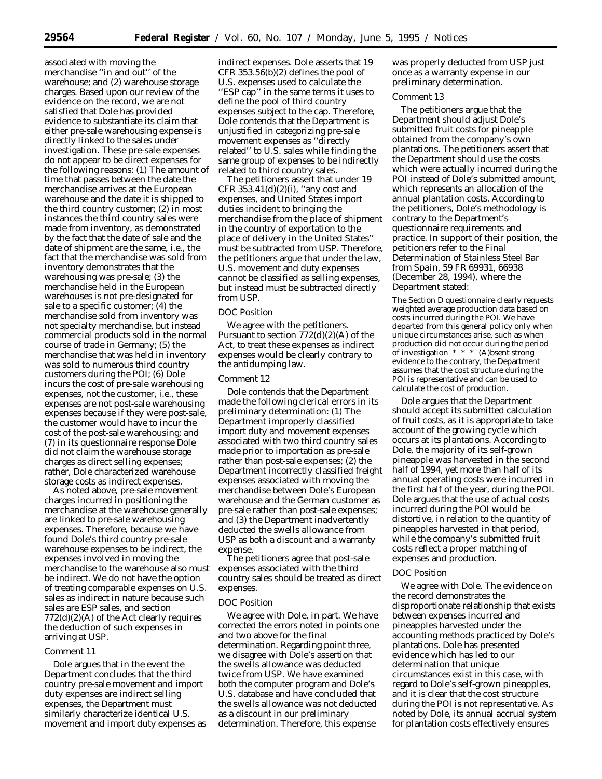associated with moving the merchandise ''in and out'' of the warehouse; and (2) warehouse storage charges. Based upon our review of the evidence on the record, we are not satisfied that Dole has provided evidence to substantiate its claim that either pre-sale warehousing expense is directly linked to the sales under investigation. These pre-sale expenses do not appear to be direct expenses for the following reasons: (1) The amount of time that passes between the date the merchandise arrives at the European warehouse and the date it is shipped to the third country customer; (2) in most instances the third country sales were made from inventory, as demonstrated by the fact that the date of sale and the date of shipment are the same, *i.e.,* the fact that the merchandise was sold from inventory demonstrates that the warehousing was pre-sale; (3) the merchandise held in the European warehouses is not pre-designated for sale to a specific customer; (4) the merchandise sold from inventory was not specialty merchandise, but instead commercial products sold in the normal course of trade in Germany; (5) the merchandise that was held in inventory was sold to numerous third country customers during the POI; (6) Dole incurs the cost of pre-sale warehousing expenses, not the customer, *i.e.,* these expenses are not post-sale warehousing expenses because if they were post-sale, the customer would have to incur the cost of the post-sale warehousing; and (7) in its questionnaire response Dole did not claim the warehouse storage charges as direct selling expenses; rather, Dole characterized warehouse storage costs as indirect expenses.

As noted above, pre-sale movement charges incurred in positioning the merchandise at the warehouse generally are linked to pre-sale warehousing expenses. Therefore, because we have found Dole's third country pre-sale warehouse expenses to be indirect, the expenses involved in moving the merchandise to the warehouse also must be indirect. We do not have the option of treating comparable expenses on U.S. sales as indirect in nature because such sales are ESP sales, and section  $772(d)(2)(A)$  of the Act clearly requires the deduction of such expenses in arriving at USP.

# *Comment 11*

Dole argues that in the event the Department concludes that the third country pre-sale movement and import duty expenses are indirect selling expenses, the Department must similarly characterize identical U.S. movement and import duty expenses as

indirect expenses. Dole asserts that 19 CFR 353.56(b)(2) defines the pool of U.S. expenses used to calculate the "ESP cap" in the same terms it uses to define the pool of third country expenses subject to the cap. Therefore, Dole contends that the Department is unjustified in categorizing pre-sale movement expenses as ''directly related'' to U.S. sales while finding the same group of expenses to be indirectly related to third country sales.

The petitioners assert that under 19 CFR 353.41(d)(2)(i), ''any cost and expenses, and United States import duties incident to bringing the merchandise from the place of shipment in the country of exportation to the place of delivery in the United States'' must be subtracted from USP. Therefore, the petitioners argue that under the law, U.S. movement and duty expenses cannot be classified as selling expenses, but instead must be subtracted directly from USP.

### *DOC Position*

We agree with the petitioners. Pursuant to section 772(d)(2)(A) of the Act, to treat these expenses as indirect expenses would be clearly contrary to the antidumping law.

# *Comment 12*

Dole contends that the Department made the following clerical errors in its preliminary determination: (1) The Department improperly classified import duty and movement expenses associated with two third country sales made prior to importation as pre-sale rather than post-sale expenses; (2) the Department incorrectly classified freight expenses associated with moving the merchandise between Dole's European warehouse and the German customer as pre-sale rather than post-sale expenses; and (3) the Department inadvertently deducted the swells allowance from USP as both a discount and a warranty expense.

The petitioners agree that post-sale expenses associated with the third country sales should be treated as direct expenses.

### *DOC Position*

We agree with Dole, in part. We have corrected the errors noted in points one and two above for the final determination. Regarding point three, we disagree with Dole's assertion that the swells allowance was deducted twice from USP. We have examined both the computer program and Dole's U.S. database and have concluded that the swells allowance was not deducted as a discount in our preliminary determination. Therefore, this expense

was properly deducted from USP just once as a warranty expense in our preliminary determination.

### *Comment 13*

The petitioners argue that the Department should adjust Dole's submitted fruit costs for pineapple obtained from the company's own plantations. The petitioners assert that the Department should use the costs which were actually incurred during the POI instead of Dole's submitted amount, which represents an allocation of the annual plantation costs. According to the petitioners, Dole's methodology is contrary to the Department's questionnaire requirements and practice. In support of their position, the petitioners refer to the *Final Determination of Stainless Steel Bar from Spain,* 59 FR 69931, 66938 (December 28, 1994), where the Department stated:

The Section D questionnaire clearly requests weighted average production data based on costs incurred during the POI. We have departed from this general policy only when unique circumstances arise, such as when production did not occur during the period of investigation \* \* \* (A)bsent strong evidence to the contrary, the Department assumes that the cost structure during the POI is representative and can be used to calculate the cost of production.

Dole argues that the Department should accept its submitted calculation of fruit costs, as it is appropriate to take account of the growing cycle which occurs at its plantations. According to Dole, the majority of its self-grown pineapple was harvested in the second half of 1994, yet more than half of its annual operating costs were incurred in the first half of the year, during the POI. Dole argues that the use of actual costs incurred during the POI would be distortive, in relation to the quantity of pineapples harvested in that period, while the company's submitted fruit costs reflect a proper matching of expenses and production.

#### *DOC Position*

We agree with Dole. The evidence on the record demonstrates the disproportionate relationship that exists between expenses incurred and pineapples harvested under the accounting methods practiced by Dole's plantations. Dole has presented evidence which has led to our determination that unique circumstances exist in this case, with regard to Dole's self-grown pineapples, and it is clear that the cost structure during the POI is not representative. As noted by Dole, its annual accrual system for plantation costs effectively ensures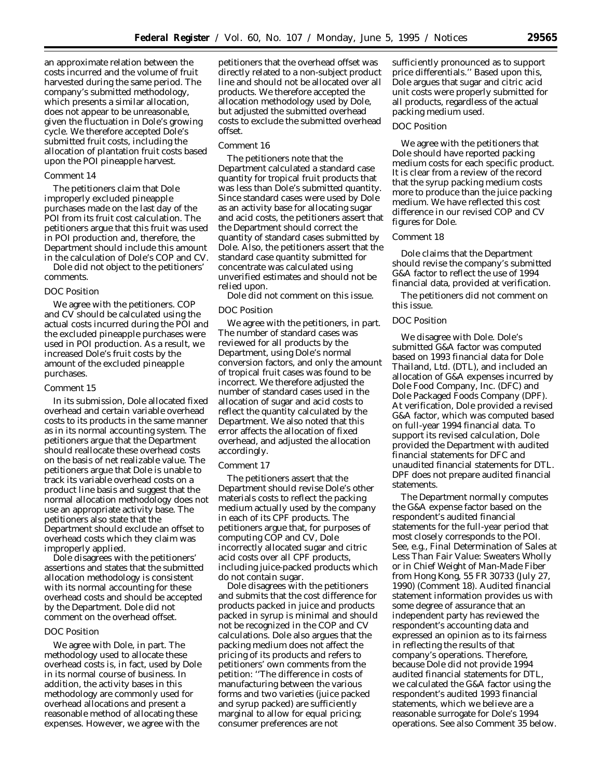an approximate relation between the costs incurred and the volume of fruit harvested during the same period. The company's submitted methodology, which presents a similar allocation, does not appear to be unreasonable, given the fluctuation in Dole's growing cycle. We therefore accepted Dole's submitted fruit costs, including the allocation of plantation fruit costs based upon the POI pineapple harvest.

### *Comment 14*

The petitioners claim that Dole improperly excluded pineapple purchases made on the last day of the POI from its fruit cost calculation. The petitioners argue that this fruit was used in POI production and, therefore, the Department should include this amount in the calculation of Dole's COP and CV.

Dole did not object to the petitioners' comments.

#### *DOC Position*

We agree with the petitioners. COP and CV should be calculated using the actual costs incurred during the POI and the excluded pineapple purchases were used in POI production. As a result, we increased Dole's fruit costs by the amount of the excluded pineapple purchases.

#### *Comment 15*

In its submission, Dole allocated fixed overhead and certain variable overhead costs to its products in the same manner as in its normal accounting system. The petitioners argue that the Department should reallocate these overhead costs on the basis of net realizable value. The petitioners argue that Dole is unable to track its variable overhead costs on a product line basis and suggest that the normal allocation methodology does not use an appropriate activity base. The petitioners also state that the Department should exclude an offset to overhead costs which they claim was improperly applied.

Dole disagrees with the petitioners' assertions and states that the submitted allocation methodology is consistent with its normal accounting for these overhead costs and should be accepted by the Department. Dole did not comment on the overhead offset.

# *DOC Position*

We agree with Dole, in part. The methodology used to allocate these overhead costs is, in fact, used by Dole in its normal course of business. In addition, the activity bases in this methodology are commonly used for overhead allocations and present a reasonable method of allocating these expenses. However, we agree with the

petitioners that the overhead offset was directly related to a non-subject product line and should not be allocated over all products. We therefore accepted the allocation methodology used by Dole, but adjusted the submitted overhead costs to exclude the submitted overhead offset.

### *Comment 16*

The petitioners note that the Department calculated a standard case quantity for tropical fruit products that was less than Dole's submitted quantity. Since standard cases were used by Dole as an activity base for allocating sugar and acid costs, the petitioners assert that the Department should correct the quantity of standard cases submitted by Dole. Also, the petitioners assert that the standard case quantity submitted for concentrate was calculated using unverified estimates and should not be relied upon.

Dole did not comment on this issue.

#### *DOC Position*

We agree with the petitioners, in part. The number of standard cases was reviewed for all products by the Department, using Dole's normal conversion factors, and only the amount of tropical fruit cases was found to be incorrect. We therefore adjusted the number of standard cases used in the allocation of sugar and acid costs to reflect the quantity calculated by the Department. We also noted that this error affects the allocation of fixed overhead, and adjusted the allocation accordingly.

#### *Comment 17*

The petitioners assert that the Department should revise Dole's other materials costs to reflect the packing medium actually used by the company in each of its CPF products. The petitioners argue that, for purposes of computing COP and CV, Dole incorrectly allocated sugar and citric acid costs over all CPF products, including juice-packed products which do not contain sugar.

Dole disagrees with the petitioners and submits that the cost difference for products packed in juice and products packed in syrup is minimal and should not be recognized in the COP and CV calculations. Dole also argues that the packing medium does not affect the pricing of its products and refers to petitioners' own comments from the petition: ''The difference in costs of manufacturing between the various forms and two varieties (juice packed and syrup packed) are sufficiently marginal to allow for equal pricing; consumer preferences are not

sufficiently pronounced as to support price differentials.'' Based upon this, Dole argues that sugar and citric acid unit costs were properly submitted for all products, regardless of the actual packing medium used.

### *DOC Position*

We agree with the petitioners that Dole should have reported packing medium costs for each specific product. It is clear from a review of the record that the syrup packing medium costs more to produce than the juice packing medium. We have reflected this cost difference in our revised COP and CV figures for Dole.

# *Comment 18*

Dole claims that the Department should revise the company's submitted G&A factor to reflect the use of 1994 financial data, provided at verification.

The petitioners did not comment on this issue.

### *DOC Position*

We disagree with Dole. Dole's submitted G&A factor was computed based on 1993 financial data for Dole Thailand, Ltd. (DTL), and included an allocation of G&A expenses incurred by Dole Food Company, Inc. (DFC) and Dole Packaged Foods Company (DPF). At verification, Dole provided a revised G&A factor, which was computed based on full-year 1994 financial data. To support its revised calculation, Dole provided the Department with audited financial statements for DFC and unaudited financial statements for DTL. DPF does not prepare audited financial statements.

The Department normally computes the G&A expense factor based on the respondent's audited financial statements for the full-year period that most closely corresponds to the POI. *See, e.g., Final Determination of Sales at Less Than Fair Value: Sweaters Wholly or in Chief Weight of Man-Made Fiber from Hong Kong,* 55 FR 30733 (July 27, 1990) (Comment 18). Audited financial statement information provides us with some degree of assurance that an independent party has reviewed the respondent's accounting data and expressed an opinion as to its fairness in reflecting the results of that company's operations. Therefore, because Dole did not provide 1994 audited financial statements for DTL, we calculated the G&A factor using the respondent's audited 1993 financial statements, which we believe are a reasonable surrogate for Dole's 1994 operations. *See also* Comment 35 below.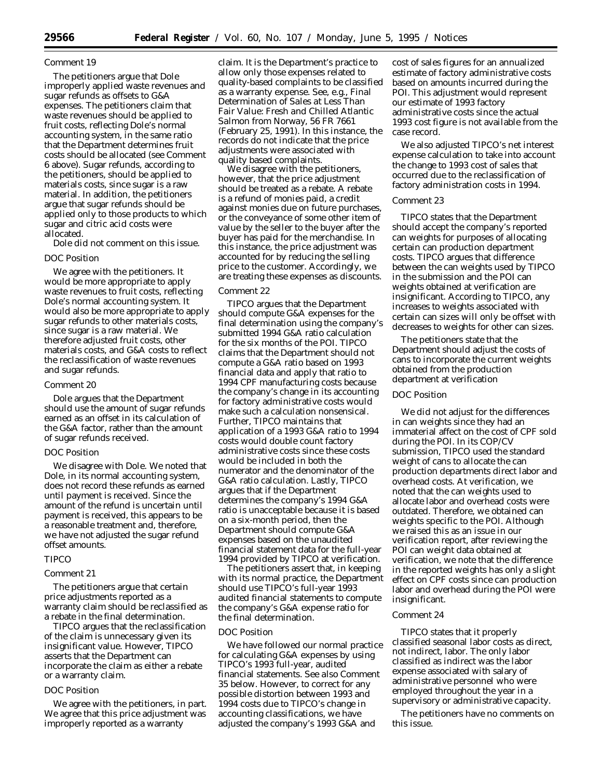### *Comment 19*

The petitioners argue that Dole improperly applied waste revenues and sugar refunds as offsets to G&A expenses. The petitioners claim that waste revenues should be applied to fruit costs, reflecting Dole's normal accounting system, in the same ratio that the Department determines fruit costs should be allocated (*see* Comment 6 above). Sugar refunds, according to the petitioners, should be applied to materials costs, since sugar is a raw material. In addition, the petitioners argue that sugar refunds should be applied only to those products to which sugar and citric acid costs were allocated.

Dole did not comment on this issue.

# *DOC Position*

We agree with the petitioners. It would be more appropriate to apply waste revenues to fruit costs, reflecting Dole's normal accounting system. It would also be more appropriate to apply sugar refunds to other materials costs, since sugar is a raw material. We therefore adjusted fruit costs, other materials costs, and G&A costs to reflect the reclassification of waste revenues and sugar refunds.

### *Comment 20*

Dole argues that the Department should use the amount of sugar refunds earned as an offset in its calculation of the G&A factor, rather than the amount of sugar refunds received.

#### *DOC Position*

We disagree with Dole. We noted that Dole, in its normal accounting system, does not record these refunds as earned until payment is received. Since the amount of the refund is uncertain until payment is received, this appears to be a reasonable treatment and, therefore, we have not adjusted the sugar refund offset amounts.

#### *TIPCO*

# *Comment 21*

The petitioners argue that certain price adjustments reported as a warranty claim should be reclassified as a rebate in the final determination.

TIPCO argues that the reclassification of the claim is unnecessary given its insignificant value. However, TIPCO asserts that the Department can incorporate the claim as either a rebate or a warranty claim.

# *DOC Position*

We agree with the petitioners, in part. We agree that this price adjustment was improperly reported as a warranty

claim. It is the Department's practice to allow only those expenses related to quality-based complaints to be classified as a warranty expense. *See, e.g., Final Determination of Sales at Less Than Fair Value: Fresh and Chilled Atlantic Salmon from Norway,* 56 FR 7661 (February 25, 1991). In this instance, the records do not indicate that the price adjustments were associated with quality based complaints.

We disagree with the petitioners, however, that the price adjustment should be treated as a rebate. A rebate is a refund of monies paid, a credit against monies due on future purchases, or the conveyance of some other item of value by the seller to the buyer after the buyer has paid for the merchandise. In this instance, the price adjustment was accounted for by reducing the selling price to the customer. Accordingly, we are treating these expenses as discounts.

# *Comment 22*

TIPCO argues that the Department should compute G&A expenses for the final determination using the company's submitted 1994 G&A ratio calculation for the six months of the POI. TIPCO claims that the Department should not compute a G&A ratio based on 1993 financial data and apply that ratio to 1994 CPF manufacturing costs because the company's change in its accounting for factory administrative costs would make such a calculation nonsensical. Further, TIPCO maintains that application of a 1993 G&A ratio to 1994 costs would double count factory administrative costs since these costs would be included in both the numerator and the denominator of the G&A ratio calculation. Lastly, TIPCO argues that if the Department determines the company's 1994 G&A ratio is unacceptable because it is based on a six-month period, then the Department should compute G&A expenses based on the unaudited financial statement data for the full-year 1994 provided by TIPCO at verification.

The petitioners assert that, in keeping with its normal practice, the Department should use TIPCO's full-year 1993 audited financial statements to compute the company's G&A expense ratio for the final determination.

# *DOC Position*

We have followed our normal practice for calculating G&A expenses by using TIPCO's 1993 full-year, audited financial statements. *See also* Comment 35 below. However, to correct for any possible distortion between 1993 and 1994 costs due to TIPCO's change in accounting classifications, we have adjusted the company's 1993 G&A and

cost of sales figures for an annualized estimate of factory administrative costs based on amounts incurred during the POI. This adjustment would represent our estimate of 1993 factory administrative costs since the actual 1993 cost figure is not available from the case record.

We also adjusted TIPCO's net interest expense calculation to take into account the change to 1993 cost of sales that occurred due to the reclassification of factory administration costs in 1994.

# *Comment 23*

TIPCO states that the Department should accept the company's reported can weights for purposes of allocating certain can production department costs. TIPCO argues that difference between the can weights used by TIPCO in the submission and the POI can weights obtained at verification are insignificant. According to TIPCO, any increases to weights associated with certain can sizes will only be offset with decreases to weights for other can sizes.

The petitioners state that the Department should adjust the costs of cans to incorporate the current weights obtained from the production department at verification

# *DOC Position*

We did not adjust for the differences in can weights since they had an immaterial affect on the cost of CPF sold during the POI. In its COP/CV submission, TIPCO used the standard weight of cans to allocate the can production departments direct labor and overhead costs. At verification, we noted that the can weights used to allocate labor and overhead costs were outdated. Therefore, we obtained can weights specific to the POI. Although we raised this as an issue in our verification report, after reviewing the POI can weight data obtained at verification, we note that the difference in the reported weights has only a slight effect on CPF costs since can production labor and overhead during the POI were insignificant.

# *Comment 24*

TIPCO states that it properly classified seasonal labor costs as direct, not indirect, labor. The only labor classified as indirect was the labor expense associated with salary of administrative personnel who were employed throughout the year in a supervisory or administrative capacity.

The petitioners have no comments on this issue.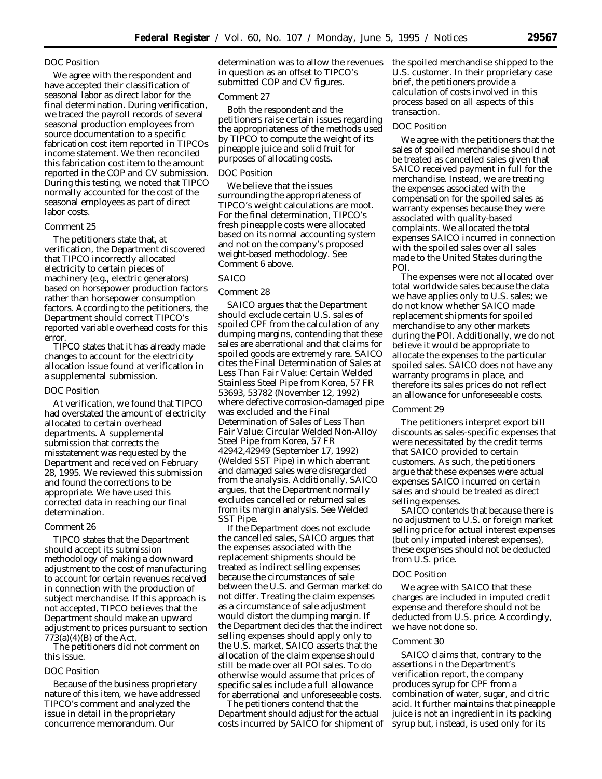### *DOC Position*

We agree with the respondent and have accepted their classification of seasonal labor as direct labor for the final determination. During verification, we traced the payroll records of several seasonal production employees from source documentation to a specific fabrication cost item reported in TIPCOs income statement. We then reconciled this fabrication cost item to the amount reported in the COP and CV submission. During this testing, we noted that TIPCO normally accounted for the cost of the seasonal employees as part of direct labor costs.

#### *Comment 25*

The petitioners state that, at verification, the Department discovered that TIPCO incorrectly allocated electricity to certain pieces of machinery (*e.g.,* electric generators) based on horsepower production factors rather than horsepower consumption factors. According to the petitioners, the Department should correct TIPCO's reported variable overhead costs for this error.

TIPCO states that it has already made changes to account for the electricity allocation issue found at verification in a supplemental submission.

#### *DOC Position*

At verification, we found that TIPCO had overstated the amount of electricity allocated to certain overhead departments. A supplemental submission that corrects the misstatement was requested by the Department and received on February 28, 1995. We reviewed this submission and found the corrections to be appropriate. We have used this corrected data in reaching our final determination.

#### *Comment 26*

TIPCO states that the Department should accept its submission methodology of making a downward adjustment to the cost of manufacturing to account for certain revenues received in connection with the production of subject merchandise. If this approach is not accepted, TIPCO believes that the Department should make an upward adjustment to prices pursuant to section  $773(a)(4)(B)$  of the Act.

The petitioners did not comment on this issue.

### *DOC Position*

Because of the business proprietary nature of this item, we have addressed TIPCO's comment and analyzed the issue in detail in the proprietary concurrence memorandum. Our

determination was to allow the revenues in question as an offset to TIPCO's submitted COP and CV figures.

#### *Comment 27*

Both the respondent and the petitioners raise certain issues regarding the appropriateness of the methods used by TIPCO to compute the weight of its pineapple juice and solid fruit for purposes of allocating costs.

# *DOC Position*

We believe that the issues surrounding the appropriateness of TIPCO's weight calculations are moot. For the final determination, TIPCO's fresh pineapple costs were allocated based on its normal accounting system and not on the company's proposed weight-based methodology. *See* Comment 6 above.

# *SAICO*

#### *Comment 28*

SAICO argues that the Department should exclude certain U.S. sales of spoiled CPF from the calculation of any dumping margins, contending that these sales are aberrational and that claims for spoiled goods are extremely rare. SAICO cites the *Final Determination of Sales at Less Than Fair Value: Certain Welded Stainless Steel Pipe from Korea,* 57 FR 53693, 53782 (November 12, 1992) where defective corrosion-damaged pipe was excluded and the *Final Determination of Sales of Less Than Fair Value: Circular Welded Non-Alloy Steel Pipe from Korea,* 57 FR 42942,42949 (September 17, 1992) (*Welded SST Pipe*) in which aberrant and damaged sales were disregarded from the analysis. Additionally, SAICO argues, that the Department normally excludes cancelled or returned sales from its margin analysis. *See Welded SST Pipe.*

If the Department does not exclude the cancelled sales, SAICO argues that the expenses associated with the replacement shipments should be treated as indirect selling expenses because the circumstances of sale between the U.S. and German market do not differ. Treating the claim expenses as a circumstance of sale adjustment would distort the dumping margin. If the Department decides that the indirect selling expenses should apply only to the U.S. market, SAICO asserts that the allocation of the claim expense should still be made over all POI sales. To do otherwise would assume that prices of specific sales include a full allowance for aberrational and unforeseeable costs.

The petitioners contend that the Department should adjust for the actual costs incurred by SAICO for shipment of the spoiled merchandise shipped to the U.S. customer. In their proprietary case brief, the petitioners provide a calculation of costs involved in this process based on all aspects of this transaction.

#### *DOC Position*

We agree with the petitioners that the sales of spoiled merchandise should not be treated as cancelled sales given that SAICO received payment in full for the merchandise. Instead, we are treating the expenses associated with the compensation for the spoiled sales as warranty expenses because they were associated with quality-based complaints. We allocated the total expenses SAICO incurred in connection with the spoiled sales over all sales made to the United States during the POI.

The expenses were not allocated over total worldwide sales because the data we have applies only to U.S. sales; we do not know whether SAICO made replacement shipments for spoiled merchandise to any other markets during the POI. Additionally, we do not believe it would be appropriate to allocate the expenses to the particular spoiled sales. SAICO does not have any warranty programs in place, and therefore its sales prices do not reflect an allowance for unforeseeable costs.

### *Comment 29*

The petitioners interpret export bill discounts as sales-specific expenses that were necessitated by the credit terms that SAICO provided to certain customers. As such, the petitioners argue that these expenses were actual expenses SAICO incurred on certain sales and should be treated as direct selling expenses.

SAICO contends that because there is no adjustment to U.S. or foreign market selling price for actual interest expenses (but only imputed interest expenses), these expenses should not be deducted from U.S. price.

### *DOC Position*

We agree with SAICO that these charges are included in imputed credit expense and therefore should not be deducted from U.S. price. Accordingly, we have not done so.

### *Comment 30*

SAICO claims that, contrary to the assertions in the Department's verification report, the company produces syrup for CPF from a combination of water, sugar, and citric acid. It further maintains that pineapple juice is not an ingredient in its packing syrup but, instead, is used only for its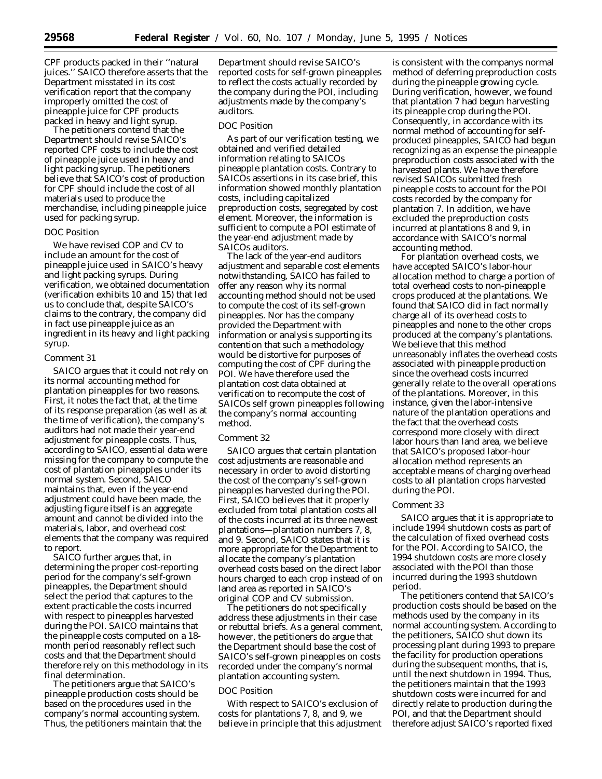CPF products packed in their ''natural juices.'' SAICO therefore asserts that the Department misstated in its cost verification report that the company improperly omitted the cost of pineapple juice for CPF products packed in heavy and light syrup.

The petitioners contend that the Department should revise SAICO's reported CPF costs to include the cost of pineapple juice used in heavy and light packing syrup. The petitioners believe that SAICO's cost of production for CPF should include the cost of all materials used to produce the merchandise, including pineapple juice used for packing syrup.

#### *DOC Position*

We have revised COP and CV to include an amount for the cost of pineapple juice used in SAICO's heavy and light packing syrups. During verification, we obtained documentation (verification exhibits 10 and 15) that led us to conclude that, despite SAICO's claims to the contrary, the company did in fact use pineapple juice as an ingredient in its heavy and light packing syrup.

#### *Comment 31*

SAICO argues that it could not rely on its normal accounting method for plantation pineapples for two reasons. First, it notes the fact that, at the time of its response preparation (as well as at the time of verification), the company's auditors had not made their year-end adjustment for pineapple costs. Thus, according to SAICO, essential data were missing for the company to compute the cost of plantation pineapples under its normal system. Second, SAICO maintains that, even if the year-end adjustment could have been made, the adjusting figure itself is an aggregate amount and cannot be divided into the materials, labor, and overhead cost elements that the company was required to report.

SAICO further argues that, in determining the proper cost-reporting period for the company's self-grown pineapples, the Department should select the period that captures to the extent practicable the costs incurred with respect to pineapples harvested during the POI. SAICO maintains that the pineapple costs computed on a 18 month period reasonably reflect such costs and that the Department should therefore rely on this methodology in its final determination.

The petitioners argue that SAICO's pineapple production costs should be based on the procedures used in the company's normal accounting system. Thus, the petitioners maintain that the

Department should revise SAICO's reported costs for self-grown pineapples to reflect the costs actually recorded by the company during the POI, including adjustments made by the company's auditors.

#### *DOC Position*

As part of our verification testing, we obtained and verified detailed information relating to SAICOs pineapple plantation costs. Contrary to SAICOs assertions in its case brief, this information showed monthly plantation costs, including capitalized preproduction costs, segregated by cost element. Moreover, the information is sufficient to compute a POI estimate of the year-end adjustment made by SAICOs auditors.

The lack of the year-end auditors adjustment and separable cost elements notwithstanding, SAICO has failed to offer any reason why its normal accounting method should not be used to compute the cost of its self-grown pineapples. Nor has the company provided the Department with information or analysis supporting its contention that such a methodology would be distortive for purposes of computing the cost of CPF during the POI. We have therefore used the plantation cost data obtained at verification to recompute the cost of SAICOs self grown pineapples following the company's normal accounting method.

#### *Comment 32*

SAICO argues that certain plantation cost adjustments are reasonable and necessary in order to avoid distorting the cost of the company's self-grown pineapples harvested during the POI. First, SAICO believes that it properly excluded from total plantation costs all of the costs incurred at its three newest plantations—plantation numbers 7, 8, and 9. Second, SAICO states that it is more appropriate for the Department to allocate the company's plantation overhead costs based on the direct labor hours charged to each crop instead of on land area as reported in SAICO's original COP and CV submission.

The petitioners do not specifically address these adjustments in their case or rebuttal briefs. As a general comment, however, the petitioners do argue that the Department should base the cost of SAICO's self-grown pineapples on costs recorded under the company's normal plantation accounting system.

# *DOC Position*

With respect to SAICO's exclusion of costs for plantations 7, 8, and 9, we believe in principle that this adjustment

is consistent with the companys normal method of deferring preproduction costs during the pineapple growing cycle. During verification, however, we found that plantation 7 had begun harvesting its pineapple crop during the POI. Consequently, in accordance with its normal method of accounting for selfproduced pineapples, SAICO had begun recognizing as an expense the pineapple preproduction costs associated with the harvested plants. We have therefore revised SAICOs submitted fresh pineapple costs to account for the POI costs recorded by the company for plantation 7. In addition, we have excluded the preproduction costs incurred at plantations 8 and 9, in accordance with SAICO's normal accounting method.

For plantation overhead costs, we have accepted SAICO's labor-hour allocation method to charge a portion of total overhead costs to non-pineapple crops produced at the plantations. We found that SAICO did in fact normally charge all of its overhead costs to pineapples and none to the other crops produced at the company's plantations. We believe that this method unreasonably inflates the overhead costs associated with pineapple production since the overhead costs incurred generally relate to the overall operations of the plantations. Moreover, in this instance, given the labor-intensive nature of the plantation operations and the fact that the overhead costs correspond more closely with direct labor hours than land area, we believe that SAICO's proposed labor-hour allocation method represents an acceptable means of charging overhead costs to all plantation crops harvested during the POI.

# *Comment 33*

SAICO argues that it is appropriate to include 1994 shutdown costs as part of the calculation of fixed overhead costs for the POI. According to SAICO, the 1994 shutdown costs are more closely associated with the POI than those incurred during the 1993 shutdown period.

The petitioners contend that SAICO's production costs should be based on the methods used by the company in its normal accounting system. According to the petitioners, SAICO shut down its processing plant during 1993 to prepare the facility for production operations during the subsequent months, that is, until the next shutdown in 1994. Thus, the petitioners maintain that the 1993 shutdown costs were incurred for and directly relate to production during the POI, and that the Department should therefore adjust SAICO's reported fixed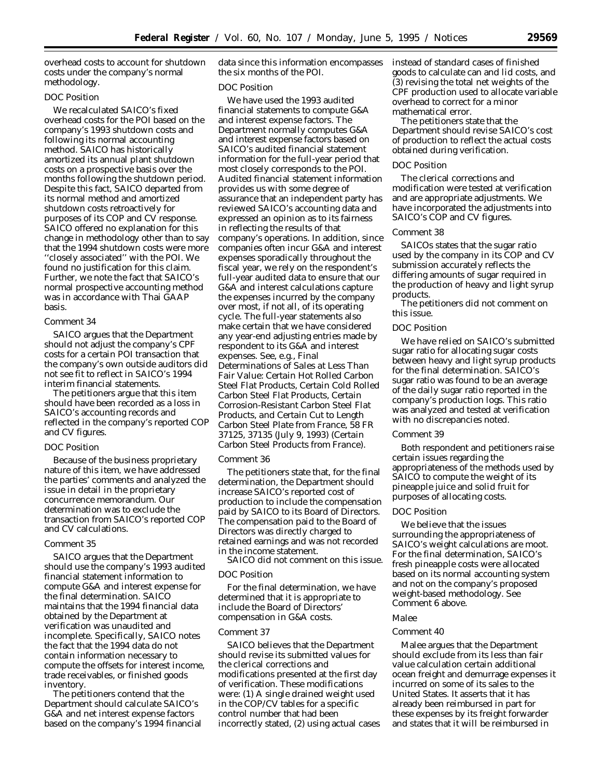overhead costs to account for shutdown costs under the company's normal methodology.

# *DOC Position*

We recalculated SAICO's fixed overhead costs for the POI based on the company's 1993 shutdown costs and following its normal accounting method. SAICO has historically amortized its annual plant shutdown costs on a prospective basis over the months following the shutdown period. Despite this fact, SAICO departed from its normal method and amortized shutdown costs retroactively for purposes of its COP and CV response. SAICO offered no explanation for this change in methodology other than to say that the 1994 shutdown costs were more ''closely associated'' with the POI. We found no justification for this claim. Further, we note the fact that SAICO's normal prospective accounting method was in accordance with Thai GAAP basis.

# *Comment 34*

SAICO argues that the Department should not adjust the company's CPF costs for a certain POI transaction that the company's own outside auditors did not see fit to reflect in SAICO's 1994 interim financial statements.

The petitioners argue that this item should have been recorded as a loss in SAICO's accounting records and reflected in the company's reported COP and CV figures.

# *DOC Position*

Because of the business proprietary nature of this item, we have addressed the parties' comments and analyzed the issue in detail in the proprietary concurrence memorandum. Our determination was to exclude the transaction from SAICO's reported COP and CV calculations.

# *Comment 35*

SAICO argues that the Department should use the company's 1993 audited financial statement information to compute G&A and interest expense for the final determination. SAICO maintains that the 1994 financial data obtained by the Department at verification was unaudited and incomplete. Specifically, SAICO notes the fact that the 1994 data do not contain information necessary to compute the offsets for interest income, trade receivables, or finished goods inventory.

The petitioners contend that the Department should calculate SAICO's G&A and net interest expense factors based on the company's 1994 financial data since this information encompasses the six months of the POI.

### *DOC Position*

We have used the 1993 audited financial statements to compute G&A and interest expense factors. The Department normally computes G&A and interest expense factors based on SAICO's audited financial statement information for the full-year period that most closely corresponds to the POI. Audited financial statement information provides us with some degree of assurance that an independent party has reviewed SAICO's accounting data and expressed an opinion as to its fairness in reflecting the results of that company's operations. In addition, since companies often incur G&A and interest expenses sporadically throughout the fiscal year, we rely on the respondent's full-year audited data to ensure that our G&A and interest calculations capture the expenses incurred by the company over most, if not all, of its operating cycle. The full-year statements also make certain that we have considered any year-end adjusting entries made by respondent to its G&A and interest expenses. *See, e.g., Final Determinations of Sales at Less Than Fair Value: Certain Hot Rolled Carbon Steel Flat Products, Certain Cold Rolled Carbon Steel Flat Products, Certain Corrosion-Resistant Carbon Steel Flat Products, and Certain Cut to Length Carbon Steel Plate from France,* 58 FR 37125, 37135 (July 9, 1993) (*Certain Carbon Steel Products from France*).

### *Comment 36*

The petitioners state that, for the final determination, the Department should increase SAICO's reported cost of production to include the compensation paid by SAICO to its Board of Directors. The compensation paid to the Board of Directors was directly charged to retained earnings and was not recorded in the income statement.

SAICO did not comment on this issue.

# *DOC Position*

For the final determination, we have determined that it is appropriate to include the Board of Directors' compensation in G&A costs.

# *Comment 37*

SAICO believes that the Department should revise its submitted values for the clerical corrections and modifications presented at the first day of verification. These modifications were: (1) A single drained weight used in the COP/CV tables for a specific control number that had been incorrectly stated, (2) using actual cases instead of standard cases of finished goods to calculate can and lid costs, and (3) revising the total net weights of the CPF production used to allocate variable overhead to correct for a minor mathematical error.

The petitioners state that the Department should revise SAICO's cost of production to reflect the actual costs obtained during verification.

# *DOC Position*

The clerical corrections and modification were tested at verification and are appropriate adjustments. We have incorporated the adjustments into SAICO's COP and CV figures.

### *Comment 38*

SAICOs states that the sugar ratio used by the company in its COP and CV submission accurately reflects the differing amounts of sugar required in the production of heavy and light syrup products.

The petitioners did not comment on this issue.

### *DOC Position*

We have relied on SAICO's submitted sugar ratio for allocating sugar costs between heavy and light syrup products for the final determination. SAICO's sugar ratio was found to be an average of the daily sugar ratio reported in the company's production logs. This ratio was analyzed and tested at verification with no discrepancies noted.

#### *Comment 39*

Both respondent and petitioners raise certain issues regarding the appropriateness of the methods used by SAICO to compute the weight of its pineapple juice and solid fruit for purposes of allocating costs.

# *DOC Position*

We believe that the issues surrounding the appropriateness of SAICO's weight calculations are moot. For the final determination, SAICO's fresh pineapple costs were allocated based on its normal accounting system and not on the company's proposed weight-based methodology. *See* Comment 6 above.

# *Malee*

# *Comment 40*

Malee argues that the Department should exclude from its less than fair value calculation certain additional ocean freight and demurrage expenses it incurred on some of its sales to the United States. It asserts that it has already been reimbursed in part for these expenses by its freight forwarder and states that it will be reimbursed in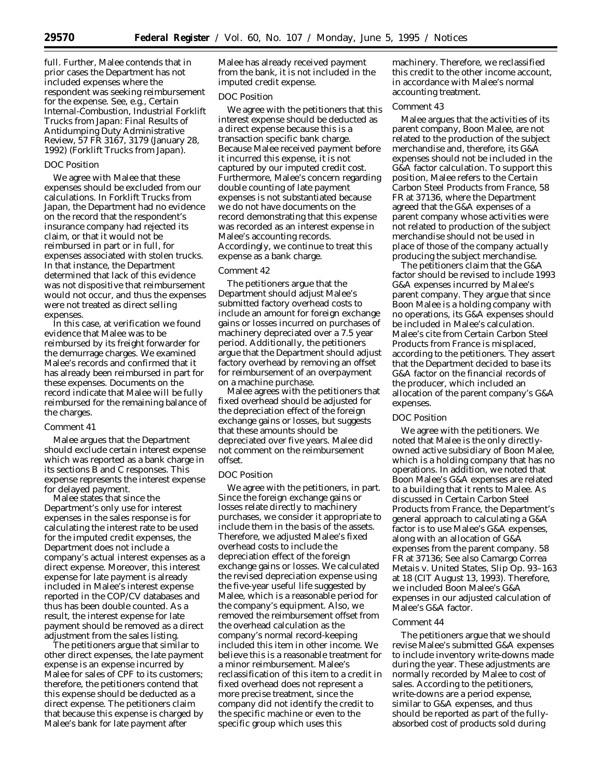full. Further, Malee contends that in prior cases the Department has not included expenses where the respondent was seeking reimbursement for the expense. *See, e.g., Certain Internal-Combustion, Industrial Forklift Trucks from Japan: Final Results of Antidumping Duty Administrative Review,* 57 FR 3167, 3179 (January 28, 1992) (*Forklift Trucks from Japan*).

#### *DOC Position*

We agree with Malee that these expenses should be excluded from our calculations. In *Forklift Trucks from Japan*, the Department had no evidence on the record that the respondent's insurance company had rejected its claim, or that it would not be reimbursed in part or in full, for expenses associated with stolen trucks. In that instance, the Department determined that lack of this evidence was not dispositive that reimbursement would not occur, and thus the expenses were not treated as direct selling expenses.

In this case, at verification we found evidence that Malee was to be reimbursed by its freight forwarder for the demurrage charges. We examined Malee's records and confirmed that it has already been reimbursed in part for these expenses. Documents on the record indicate that Malee will be fully reimbursed for the remaining balance of the charges.

#### *Comment 41*

Malee argues that the Department should exclude certain interest expense which was reported as a bank charge in its sections B and C responses. This expense represents the interest expense for delayed payment.

Malee states that since the Department's only use for interest expenses in the sales response is for calculating the interest rate to be used for the imputed credit expenses, the Department does not include a company's actual interest expenses as a direct expense. Moreover, this interest expense for late payment is already included in Malee's interest expense reported in the COP/CV databases and thus has been double counted. As a result, the interest expense for late payment should be removed as a direct adjustment from the sales listing.

The petitioners argue that similar to other direct expenses, the late payment expense is an expense incurred by Malee for sales of CPF to its customers; therefore, the petitioners contend that this expense should be deducted as a direct expense. The petitioners claim that because this expense is charged by Malee's bank for late payment after

Malee has already received payment from the bank, it is not included in the imputed credit expense.

# *DOC Position*

We agree with the petitioners that this interest expense should be deducted as a direct expense because this is a transaction specific bank charge. Because Malee received payment before it incurred this expense, it is not captured by our imputed credit cost. Furthermore, Malee's concern regarding double counting of late payment expenses is not substantiated because we do not have documents on the record demonstrating that this expense was recorded as an interest expense in Malee's accounting records. Accordingly, we continue to treat this expense as a bank charge.

#### *Comment 42*

The petitioners argue that the Department should adjust Malee's submitted factory overhead costs to include an amount for foreign exchange gains or losses incurred on purchases of machinery depreciated over a 7.5 year period. Additionally, the petitioners argue that the Department should adjust factory overhead by removing an offset for reimbursement of an overpayment on a machine purchase.

Malee agrees with the petitioners that fixed overhead should be adjusted for the depreciation effect of the foreign exchange gains or losses, but suggests that these amounts should be depreciated over five years. Malee did not comment on the reimbursement offset.

#### *DOC Position*

We agree with the petitioners, in part. Since the foreign exchange gains or losses relate directly to machinery purchases, we consider it appropriate to include them in the basis of the assets. Therefore, we adjusted Malee's fixed overhead costs to include the depreciation effect of the foreign exchange gains or losses. We calculated the revised depreciation expense using the five-year useful life suggested by Malee, which is a reasonable period for the company's equipment. Also, we removed the reimbursement offset from the overhead calculation as the company's normal record-keeping included this item in other income. We believe this is a reasonable treatment for a minor reimbursement. Malee's reclassification of this item to a credit in fixed overhead does not represent a more precise treatment, since the company did not identify the credit to the specific machine or even to the specific group which uses this

machinery. Therefore, we reclassified this credit to the other income account, in accordance with Malee's normal accounting treatment.

# *Comment 43*

Malee argues that the activities of its parent company, Boon Malee, are not related to the production of the subject merchandise and, therefore, its G&A expenses should not be included in the G&A factor calculation. To support this position, Malee refers to the *Certain Carbon Steel Products from France*, 58 FR at 37136, where the Department agreed that the G&A expenses of a parent company whose activities were not related to production of the subject merchandise should not be used in place of those of the company actually producing the subject merchandise.

The petitioners claim that the G&A factor should be revised to include 1993 G&A expenses incurred by Malee's parent company. They argue that since Boon Malee is a holding company with no operations, its G&A expenses should be included in Malee's calculation. Malee's cite from *Certain Carbon Steel Products from France* is misplaced, according to the petitioners. They assert that the Department decided to base its G&A factor on the financial records of the producer, which included an allocation of the parent company's G&A expenses.

#### *DOC Position*

We agree with the petitioners. We noted that Malee is the only directlyowned active subsidiary of Boon Malee, which is a holding company that has no operations. In addition, we noted that Boon Malee's G&A expenses are related to a building that it rents to Malee. As discussed in *Certain Carbon Steel Products from France*, the Department's general approach to calculating a G&A factor is to use Malee's G&A expenses, along with an allocation of G&A expenses from the parent company. 58 FR at 37136; *See also Camargo Correa Metais* v. *United States*, Slip Op. 93–163 at 18 (CIT August 13, 1993). Therefore, we included Boon Malee's G&A expenses in our adjusted calculation of Malee's G&A factor.

#### *Comment 44*

The petitioners argue that we should revise Malee's submitted G&A expenses to include inventory write-downs made during the year. These adjustments are normally recorded by Malee to cost of sales. According to the petitioners, write-downs are a period expense, similar to G&A expenses, and thus should be reported as part of the fullyabsorbed cost of products sold during